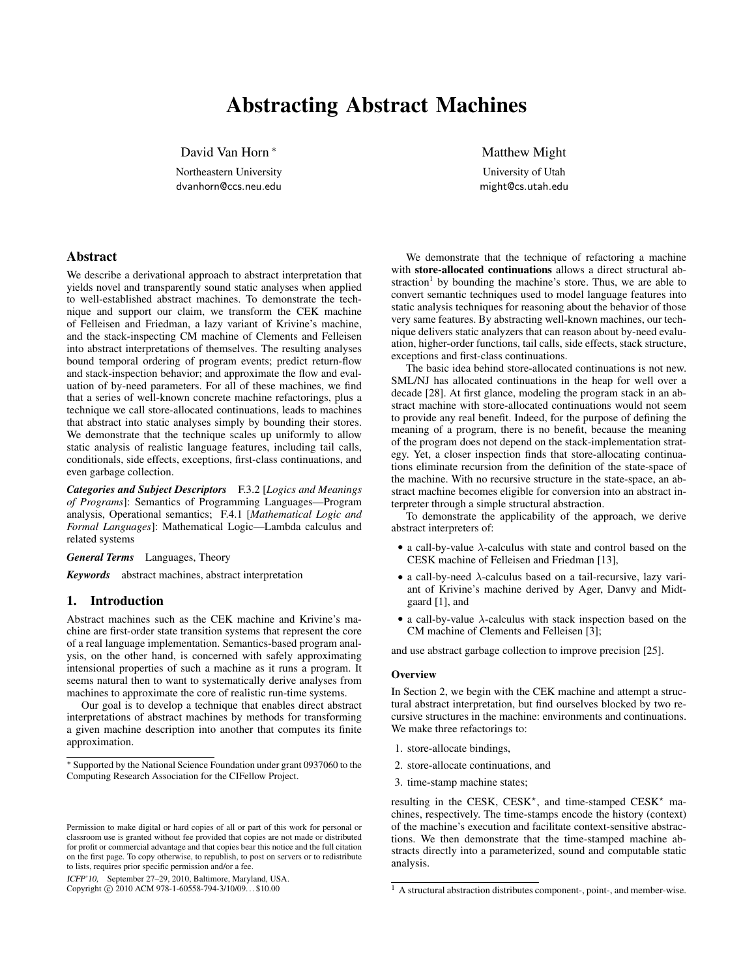# Abstracting Abstract Machines

David Van Horn <sup>∗</sup>

Northeastern University dvanhorn@ccs.neu.edu

## Abstract

We describe a derivational approach to abstract interpretation that yields novel and transparently sound static analyses when applied to well-established abstract machines. To demonstrate the technique and support our claim, we transform the CEK machine of Felleisen and Friedman, a lazy variant of Krivine's machine, and the stack-inspecting CM machine of Clements and Felleisen into abstract interpretations of themselves. The resulting analyses bound temporal ordering of program events; predict return-flow and stack-inspection behavior; and approximate the flow and evaluation of by-need parameters. For all of these machines, we find that a series of well-known concrete machine refactorings, plus a technique we call store-allocated continuations, leads to machines that abstract into static analyses simply by bounding their stores. We demonstrate that the technique scales up uniformly to allow static analysis of realistic language features, including tail calls, conditionals, side effects, exceptions, first-class continuations, and even garbage collection.

*Categories and Subject Descriptors* F.3.2 [*Logics and Meanings of Programs*]: Semantics of Programming Languages—Program analysis, Operational semantics; F.4.1 [*Mathematical Logic and Formal Languages*]: Mathematical Logic—Lambda calculus and related systems

*General Terms* Languages, Theory

*Keywords* abstract machines, abstract interpretation

## 1. Introduction

Abstract machines such as the CEK machine and Krivine's machine are first-order state transition systems that represent the core of a real language implementation. Semantics-based program analysis, on the other hand, is concerned with safely approximating intensional properties of such a machine as it runs a program. It seems natural then to want to systematically derive analyses from machines to approximate the core of realistic run-time systems.

Our goal is to develop a technique that enables direct abstract interpretations of abstract machines by methods for transforming a given machine description into another that computes its finite approximation.

ICFP'10, September 27–29, 2010, Baltimore, Maryland, USA. Copyright © 2010 ACM 978-1-60558-794-3/10/09... \$10.00

Matthew Might

University of Utah might@cs.utah.edu

We demonstrate that the technique of refactoring a machine with store-allocated continuations allows a direct structural ab-straction<sup>[1](#page-0-0)</sup> by bounding the machine's store. Thus, we are able to convert semantic techniques used to model language features into static analysis techniques for reasoning about the behavior of those very same features. By abstracting well-known machines, our technique delivers static analyzers that can reason about by-need evaluation, higher-order functions, tail calls, side effects, stack structure, exceptions and first-class continuations.

The basic idea behind store-allocated continuations is not new. SML/NJ has allocated continuations in the heap for well over a decade [\[28\]](#page-11-0). At first glance, modeling the program stack in an abstract machine with store-allocated continuations would not seem to provide any real benefit. Indeed, for the purpose of defining the meaning of a program, there is no benefit, because the meaning of the program does not depend on the stack-implementation strategy. Yet, a closer inspection finds that store-allocating continuations eliminate recursion from the definition of the state-space of the machine. With no recursive structure in the state-space, an abstract machine becomes eligible for conversion into an abstract interpreter through a simple structural abstraction.

To demonstrate the applicability of the approach, we derive abstract interpreters of:

- a call-by-value  $\lambda$ -calculus with state and control based on the CESK machine of Felleisen and Friedman [\[13\]](#page-11-1),
- a call-by-need  $\lambda$ -calculus based on a tail-recursive, lazy variant of Krivine's machine derived by Ager, Danvy and Midtgaard [\[1\]](#page-11-2), and
- a call-by-value  $\lambda$ -calculus with stack inspection based on the CM machine of Clements and Felleisen [\[3\]](#page-11-3);

and use abstract garbage collection to improve precision [\[25\]](#page-11-4).

## **Overview**

In Section [2,](#page-1-0) we begin with the CEK machine and attempt a structural abstract interpretation, but find ourselves blocked by two recursive structures in the machine: environments and continuations. We make three refactorings to:

- 1. store-allocate bindings,
- 2. store-allocate continuations, and
- 3. time-stamp machine states;

resulting in the CESK, CESK<sup>\*</sup>, and time-stamped CESK<sup>\*</sup> machines, respectively. The time-stamps encode the history (context) of the machine's execution and facilitate context-sensitive abstractions. We then demonstrate that the time-stamped machine abstracts directly into a parameterized, sound and computable static analysis.

<sup>∗</sup> Supported by the National Science Foundation under grant 0937060 to the Computing Research Association for the CIFellow Project.

Permission to make digital or hard copies of all or part of this work for personal or classroom use is granted without fee provided that copies are not made or distributed for profit or commercial advantage and that copies bear this notice and the full citation on the first page. To copy otherwise, to republish, to post on servers or to redistribute to lists, requires prior specific permission and/or a fee.

<span id="page-0-0"></span><sup>&</sup>lt;sup>1</sup> A structural abstraction distributes component-, point-, and member-wise.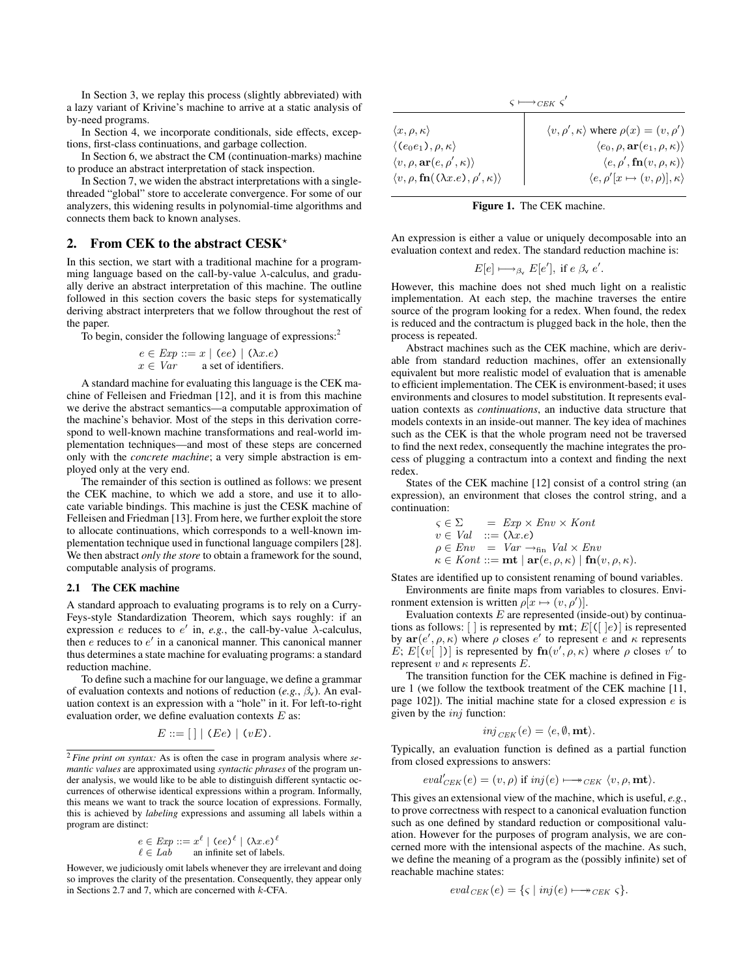In Section [3,](#page-5-0) we replay this process (slightly abbreviated) with a lazy variant of Krivine's machine to arrive at a static analysis of by-need programs.

In Section [4,](#page-6-0) we incorporate conditionals, side effects, exceptions, first-class continuations, and garbage collection.

In Section [6,](#page-8-0) we abstract the CM (continuation-marks) machine to produce an abstract interpretation of stack inspection.

In Section [7,](#page-9-0) we widen the abstract interpretations with a singlethreaded "global" store to accelerate convergence. For some of our analyzers, this widening results in polynomial-time algorithms and connects them back to known analyses.

# <span id="page-1-0"></span>2. From CEK to the abstract CESK $\star$

In this section, we start with a traditional machine for a programming language based on the call-by-value  $\lambda$ -calculus, and gradually derive an abstract interpretation of this machine. The outline followed in this section covers the basic steps for systematically deriving abstract interpreters that we follow throughout the rest of the paper.

To begin, consider the following language of expressions:<sup>[2](#page-1-1)</sup>

$$
e \in Exp ::= x \mid (ee) \mid (\lambda x.e)
$$
  

$$
x \in Var
$$
 a set of identifiers.

A standard machine for evaluating this language is the CEK machine of Felleisen and Friedman [\[12\]](#page-11-5), and it is from this machine we derive the abstract semantics—a computable approximation of the machine's behavior. Most of the steps in this derivation correspond to well-known machine transformations and real-world implementation techniques—and most of these steps are concerned only with the *concrete machine*; a very simple abstraction is employed only at the very end.

The remainder of this section is outlined as follows: we present the CEK machine, to which we add a store, and use it to allocate variable bindings. This machine is just the CESK machine of Felleisen and Friedman [\[13\]](#page-11-1). From here, we further exploit the store to allocate continuations, which corresponds to a well-known implementation technique used in functional language compilers [\[28\]](#page-11-0). We then abstract *only the store* to obtain a framework for the sound, computable analysis of programs.

## <span id="page-1-3"></span>2.1 The CEK machine

A standard approach to evaluating programs is to rely on a Curry-Feys-style Standardization Theorem, which says roughly: if an expression *e* reduces to *e'* in, *e.g.*, the call-by-value  $\lambda$ -calculus, then  $e$  reduces to  $e'$  in a canonical manner. This canonical manner thus determines a state machine for evaluating programs: a standard reduction machine.

To define such a machine for our language, we define a grammar of evaluation contexts and notions of reduction  $(e.g., \beta_{v})$ . An evaluation context is an expression with a "hole" in it. For left-to-right evaluation order, we define evaluation contexts  $E$  as:

$$
E ::= [ ] | (Ee) | (vE).
$$

$$
e \in Exp ::= x^{\ell} \mid (ee)^{\ell} \mid (\lambda x.e)^{\ell}
$$
  

$$
\ell \in Lab
$$
 an infinite set of labels.

However, we judiciously omit labels whenever they are irrelevant and doing so improves the clarity of the presentation. Consequently, they appear only in Sections [2.7](#page-4-0) and [7,](#page-9-0) which are concerned with k-CFA.

 $\varsigma \longmapsto_{\textit{CEK}} \varsigma'$ 

| $\langle x,\rho,\kappa\rangle$                                      | $\langle v, \rho', \kappa \rangle$ where $\rho(x) = (v, \rho')$ |
|---------------------------------------------------------------------|-----------------------------------------------------------------|
| $\langle (e_0e_1), \rho, \kappa \rangle$                            | $\langle e_0, \rho, \textbf{ar}(e_1, \rho, \kappa) \rangle$     |
| $\langle v, \rho, \textbf{ar}(e, \rho', \kappa) \rangle$            | $\langle e, \rho', \mathbf{fn}(v, \rho, \kappa) \rangle$        |
| $\langle v, \rho, \textbf{fn}(\lambda x.e), \rho', \kappa) \rangle$ | $\langle e, \rho' [x \mapsto (v, \rho)], \kappa \rangle$        |

<span id="page-1-2"></span>Figure 1. The CEK machine.

An expression is either a value or uniquely decomposable into an evaluation context and redex. The standard reduction machine is:

$$
E[e] \longmapsto_{\beta_{\mathsf{v}}} E[e'], \text{ if } e \beta_{\mathsf{v}} e'.
$$

**0.00** 

However, this machine does not shed much light on a realistic implementation. At each step, the machine traverses the entire source of the program looking for a redex. When found, the redex is reduced and the contractum is plugged back in the hole, then the process is repeated.

Abstract machines such as the CEK machine, which are derivable from standard reduction machines, offer an extensionally equivalent but more realistic model of evaluation that is amenable to efficient implementation. The CEK is environment-based; it uses environments and closures to model substitution. It represents evaluation contexts as *continuations*, an inductive data structure that models contexts in an inside-out manner. The key idea of machines such as the CEK is that the whole program need not be traversed to find the next redex, consequently the machine integrates the process of plugging a contractum into a context and finding the next redex.

States of the CEK machine [\[12\]](#page-11-5) consist of a control string (an expression), an environment that closes the control string, and a continuation:

$$
\begin{array}{rcl}\n\varsigma \in \Sigma & = \mathit{Exp} \times \mathit{Env} \times \mathit{Kont} \\
v \in \mathit{Val} & ::= (\lambda x.e) \\
\rho \in \mathit{Env} & = \mathit{Var} \rightarrow_{\mathit{fin}} \mathit{Val} \times \mathit{Env} \\
\kappa \in \mathit{Kont} ::= \mathbf{mt} \mid \mathbf{ar}(e, \rho, \kappa) \mid \mathbf{fn}(v, \rho, \kappa).\n\end{array}
$$

States are identified up to consistent renaming of bound variables. Environments are finite maps from variables to closures. Envi-

ronment extension is written  $\rho[x \mapsto (v, \rho')]$ . Evaluation contexts  $E$  are represented (inside-out) by continuations as follows:  $\lceil \cdot \rceil$  is represented by mt;  $E[(\lceil e \rceil)e]$  is represented by  $\mathbf{ar}(e', \rho, \kappa)$  where  $\rho$  closes  $e'$  to represent e and  $\kappa$  represents

E;  $E[(v[$  [)] is represented by  $\mathbf{fn}(v', \rho, \kappa))$  where  $\rho$  closes v' to represent  $v$  and  $\kappa$  represents  $E$ . The transition function for the CEK machine is defined in Fig-

ure [1](#page-1-2) (we follow the textbook treatment of the CEK machine [\[11,](#page-11-6) page 102]). The initial machine state for a closed expression  $e$  is given by the inj function:

$$
inj_{CEK}(e) = \langle e, \emptyset, \mathbf{mt} \rangle.
$$

Typically, an evaluation function is defined as a partial function from closed expressions to answers:

$$
eval'_{CEK}(e) = (v, \rho) \text{ if } inj(e) \longmapsto_{CEK} \langle v, \rho, \text{mt} \rangle.
$$

This gives an extensional view of the machine, which is useful, *e.g.*, to prove correctness with respect to a canonical evaluation function such as one defined by standard reduction or compositional valuation. However for the purposes of program analysis, we are concerned more with the intensional aspects of the machine. As such, we define the meaning of a program as the (possibly infinite) set of reachable machine states:

$$
eval_{CEK}(e) = \{ \varsigma \mid inj(e) \longmapsto_{CEK} \varsigma \}.
$$

<span id="page-1-1"></span><sup>2</sup> *Fine print on syntax:* As is often the case in program analysis where *semantic values* are approximated using *syntactic phrases* of the program under analysis, we would like to be able to distinguish different syntactic occurrences of otherwise identical expressions within a program. Informally, this means we want to track the source location of expressions. Formally, this is achieved by *labeling* expressions and assuming all labels within a program are distinct: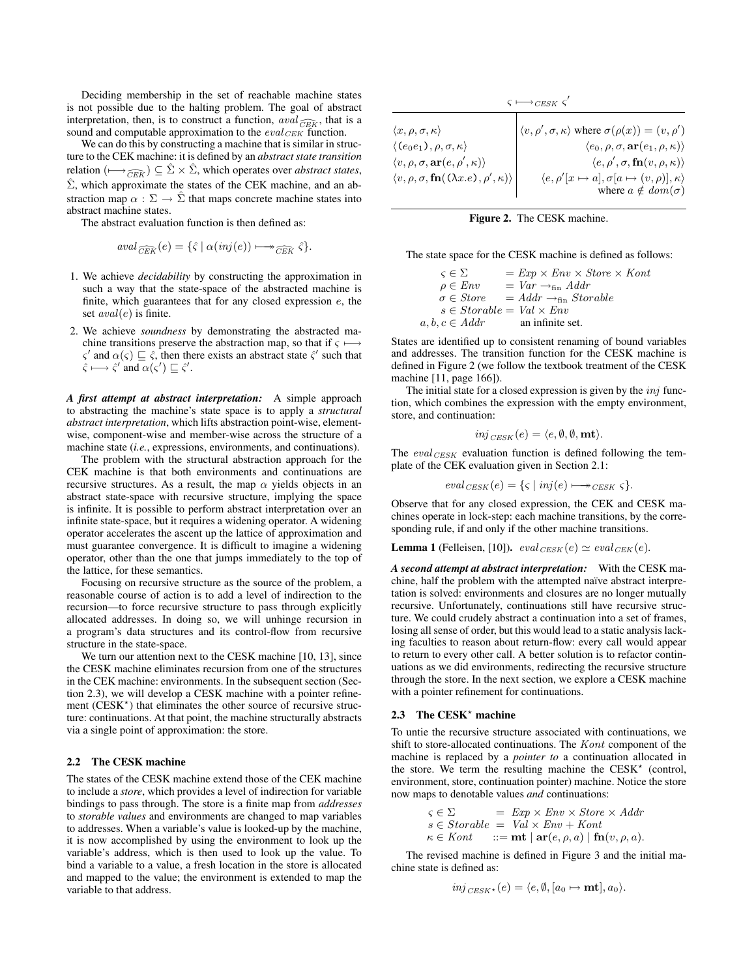Deciding membership in the set of reachable machine states is not possible due to the halting problem. The goal of abstract interpretation, then, is to construct a function,  $\left(\frac{d}{dE}\right)$ , that is a sound and computable approximation to the  $eval_{CEK}$  function.

We can do this by constructing a machine that is similar in structure to the CEK machine: it is defined by an *abstract state transition* relation ( $\longmapsto$ <sub>*CEK*</sub>) ⊆  $\hat{\Sigma} \times \hat{\Sigma}$ , which operates over *abstract states*,  $\hat{\Sigma}$ , which approximate the states of the CEK machine, and an abstraction map  $\alpha : \Sigma \to \hat{\Sigma}$  that maps concrete machine states into abstract machine states.

The abstract evaluation function is then defined as:

$$
aval_{\widehat{CER}}(e) = \{ \hat{\varsigma} \mid \alpha(inj(e)) \longmapsto_{\widehat{CER}} \hat{\varsigma} \}.
$$

- 1. We achieve *decidability* by constructing the approximation in such a way that the state-space of the abstracted machine is finite, which guarantees that for any closed expression  $e$ , the set  $aval(e)$  is finite.
- 2. We achieve *soundness* by demonstrating the abstracted machine transitions preserve the abstraction map, so that if  $\varsigma \mapsto$  $\varsigma'$  and  $\alpha(\varsigma) \sqsubseteq \hat{\varsigma}$ , then there exists an abstract state  $\hat{\varsigma}'$  such that  $\hat{\varsigma} \longmapsto \hat{\varsigma}'$  and  $\alpha(\varsigma') \sqsubseteq \hat{\varsigma}'$ .

*A first attempt at abstract interpretation:* A simple approach to abstracting the machine's state space is to apply a *structural abstract interpretation*, which lifts abstraction point-wise, elementwise, component-wise and member-wise across the structure of a machine state (*i.e.*, expressions, environments, and continuations).

The problem with the structural abstraction approach for the CEK machine is that both environments and continuations are recursive structures. As a result, the map  $\alpha$  yields objects in an abstract state-space with recursive structure, implying the space is infinite. It is possible to perform abstract interpretation over an infinite state-space, but it requires a widening operator. A widening operator accelerates the ascent up the lattice of approximation and must guarantee convergence. It is difficult to imagine a widening operator, other than the one that jumps immediately to the top of the lattice, for these semantics.

Focusing on recursive structure as the source of the problem, a reasonable course of action is to add a level of indirection to the recursion—to force recursive structure to pass through explicitly allocated addresses. In doing so, we will unhinge recursion in a program's data structures and its control-flow from recursive structure in the state-space.

We turn our attention next to the CESK machine [\[10,](#page-11-7) [13\]](#page-11-1), since the CESK machine eliminates recursion from one of the structures in the CEK machine: environments. In the subsequent section (Section [2.3\)](#page-2-0), we will develop a CESK machine with a pointer refinement (CESK<sup>\*</sup>) that eliminates the other source of recursive structure: continuations. At that point, the machine structurally abstracts via a single point of approximation: the store.

## <span id="page-2-2"></span>2.2 The CESK machine

The states of the CESK machine extend those of the CEK machine to include a *store*, which provides a level of indirection for variable bindings to pass through. The store is a finite map from *addresses* to *storable values* and environments are changed to map variables to addresses. When a variable's value is looked-up by the machine, it is now accomplished by using the environment to look up the variable's address, which is then used to look up the value. To bind a variable to a value, a fresh location in the store is allocated and mapped to the value; the environment is extended to map the variable to that address.

 $\varsigma \longmapsto_{CESK} \varsigma'$ 

| $\langle x, \rho, \sigma, \kappa \rangle$                                                  | $\langle v, \rho', \sigma, \kappa \rangle$ where $\sigma(\rho(x)) = (v, \rho')$ |
|--------------------------------------------------------------------------------------------|---------------------------------------------------------------------------------|
| $\langle (e_0e_1), \rho, \sigma, \kappa \rangle$                                           | $\langle e_0, \rho, \sigma, \textbf{ar}(e_1, \rho, \kappa) \rangle$             |
| $\langle v, \rho, \sigma, \textbf{ar}(e, \rho', \kappa) \rangle$                           | $\langle e, \rho', \sigma, \mathbf{fn}(v, \rho, \kappa) \rangle$                |
| $\langle v, \rho, \sigma, \mathbf{fn}(\langle \lambda x.e \rangle, \rho', \kappa) \rangle$ | $\langle e, \rho'[x \mapsto a], \sigma[a \mapsto (v, \rho)], \kappa \rangle$    |
|                                                                                            | where $a \notin dom(\sigma)$                                                    |

<span id="page-2-1"></span>Figure 2. The CESK machine.

The state space for the CESK machine is defined as follows:

 $\varsigma \in \Sigma$  =  $Exp \times Env \times Store \times Kont$  $\rho \in Env \qquad = Var \rightarrow_{fin} Addr$  $\sigma \in Store \quad = Addr \rightarrow_{fin} Storable$  $s \in Storable = Val \times Env$  $a, b, c \in Addr$  an infinite set.

States are identified up to consistent renaming of bound variables and addresses. The transition function for the CESK machine is defined in Figure [2](#page-2-1) (we follow the textbook treatment of the CESK machine [\[11,](#page-11-6) page 166]).

The initial state for a closed expression is given by the  $inj$  function, which combines the expression with the empty environment, store, and continuation:

$$
inj_{\text{CESK}}(e) = \langle e, \emptyset, \emptyset, \mathbf{mt} \rangle.
$$

The  $eval_{CESK}$  evaluation function is defined following the template of the CEK evaluation given in Section [2.1:](#page-1-3)

$$
eval_{CESK}(e) = \{ \varsigma \mid inj(e) \longmapsto_{CESK} \varsigma \}.
$$

Observe that for any closed expression, the CEK and CESK machines operate in lock-step: each machine transitions, by the corresponding rule, if and only if the other machine transitions.

<span id="page-2-3"></span>**Lemma 1** (Felleisen, [\[10\]](#page-11-7)).  $eval_{CESK}(e) \simeq eval_{CEK}(e)$ .

*A second attempt at abstract interpretation:* With the CESK machine, half the problem with the attempted naïve abstract interpretation is solved: environments and closures are no longer mutually recursive. Unfortunately, continuations still have recursive structure. We could crudely abstract a continuation into a set of frames, losing all sense of order, but this would lead to a static analysis lacking faculties to reason about return-flow: every call would appear to return to every other call. A better solution is to refactor continuations as we did environments, redirecting the recursive structure through the store. In the next section, we explore a CESK machine with a pointer refinement for continuations.

## <span id="page-2-0"></span>2.3 The CESK $*$  machine

To untie the recursive structure associated with continuations, we shift to store-allocated continuations. The Kont component of the machine is replaced by a *pointer to* a continuation allocated in the store. We term the resulting machine the CESK<sup>\*</sup> (control, environment, store, continuation pointer) machine. Notice the store now maps to denotable values *and* continuations:

$$
\begin{array}{rcl}\n\varsigma \in \Sigma & = & Exp \times Env \times Store \times Addr \\
s \in Storable & = & Val \times Env + Kont \\
\kappa \in Kont & ::= \mathbf{mt} \mid \mathbf{ar}(e, \rho, a) \mid \mathbf{fn}(v, \rho, a).\n\end{array}
$$

The revised machine is defined in Figure [3](#page-3-0) and the initial machine state is defined as:

inj CESK? (e) = he, ∅, [a<sup>0</sup> 7→ mt], a0i.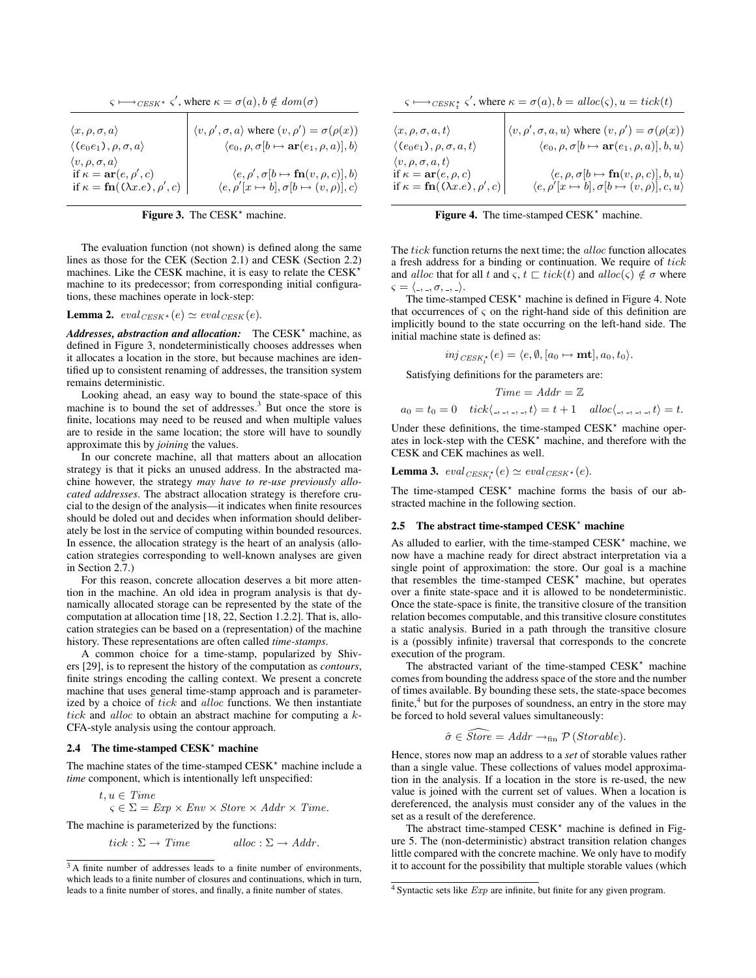$\varsigma \longmapsto_{CESK^*} \varsigma'$ , where  $\kappa = \sigma(a), b \notin dom(\sigma)$ 

| $\langle x,\rho,\sigma,a\rangle$<br>$\langle (e_0e_1), \rho, \sigma, a \rangle$                                                     | $\left\{ \begin{aligned} \langle v, \rho', \sigma, a \rangle \text{ where } (v, \rho') & = \sigma(\rho(x)) \\ \langle e_0, \rho, \sigma[b \mapsto \mathbf{ar}(e_1, \rho, a)], b \rangle \end{aligned} \right.$ |
|-------------------------------------------------------------------------------------------------------------------------------------|----------------------------------------------------------------------------------------------------------------------------------------------------------------------------------------------------------------|
| $\langle v, \rho, \sigma, a \rangle$<br>if $\kappa = \mathbf{ar}(e, \rho', c)$<br>if $\kappa = \mathbf{fn}(\lambda x.e), \rho', c)$ | $\langle e, \rho', \sigma[b \mapsto \mathbf{fn}(v, \rho, c)], b \rangle$<br>$\langle e, \rho'[x \mapsto b], \sigma[b \mapsto (v, \rho)], c \rangle$                                                            |

<span id="page-3-0"></span>Figure 3. The CESK $*$  machine.

The evaluation function (not shown) is defined along the same lines as those for the CEK (Section [2.1\)](#page-1-3) and CESK (Section [2.2\)](#page-2-2) machines. Like the CESK machine, it is easy to relate the CESK<sup>\*</sup> machine to its predecessor; from corresponding initial configurations, these machines operate in lock-step:

## <span id="page-3-4"></span>**Lemma 2.**  $eval_{CESK^*}(e) \simeq eval_{CESK}(e)$ .

Addresses, abstraction and allocation: The CESK<sup>\*</sup> machine, as defined in Figure [3,](#page-3-0) nondeterministically chooses addresses when it allocates a location in the store, but because machines are identified up to consistent renaming of addresses, the transition system remains deterministic.

Looking ahead, an easy way to bound the state-space of this machine is to bound the set of addresses.<sup>[3](#page-3-1)</sup> But once the store is finite, locations may need to be reused and when multiple values are to reside in the same location; the store will have to soundly approximate this by *joining* the values.

In our concrete machine, all that matters about an allocation strategy is that it picks an unused address. In the abstracted machine however, the strategy *may have to re-use previously allocated addresses*. The abstract allocation strategy is therefore crucial to the design of the analysis—it indicates when finite resources should be doled out and decides when information should deliberately be lost in the service of computing within bounded resources. In essence, the allocation strategy is the heart of an analysis (allocation strategies corresponding to well-known analyses are given in Section [2.7.](#page-4-0))

For this reason, concrete allocation deserves a bit more attention in the machine. An old idea in program analysis is that dynamically allocated storage can be represented by the state of the computation at allocation time [\[18,](#page-11-8) [22,](#page-11-9) Section 1.2.2]. That is, allocation strategies can be based on a (representation) of the machine history. These representations are often called *time-stamps*.

A common choice for a time-stamp, popularized by Shivers [\[29\]](#page-11-10), is to represent the history of the computation as *contours*, finite strings encoding the calling context. We present a concrete machine that uses general time-stamp approach and is parameterized by a choice of tick and alloc functions. We then instantiate tick and alloc to obtain an abstract machine for computing a  $k$ -CFA-style analysis using the contour approach.

## <span id="page-3-6"></span>2.4 The time-stamped  $CESK<sup>*</sup>$  machine

The machine states of the time-stamped  $CESK<sup>*</sup>$  machine include a *time* component, which is intentionally left unspecified:

$$
t, u \in Time
$$
  

$$
\varsigma \in \Sigma = Exp \times Env \times Store \times Addr \times Time.
$$

The machine is parameterized by the functions:

$$
tick: \Sigma \to Time \qquad \qquad alloc: \Sigma \to Addr.
$$

 $\varsigma \longmapsto_{CESK_t^{\star}} \varsigma'$ , where  $\kappa = \sigma(a), b = \text{alloc}(\varsigma), u = \text{tick}(t)$ 

$$
\langle x, \rho, \sigma, a, t \rangle
$$
  
\n
$$
\langle (e_0e_1), \rho, \sigma, a, t \rangle
$$
  
\n
$$
\langle v, \rho', \sigma, a, u \rangle
$$
 where  $(v, \rho') = \sigma(\rho(x))$   
\n
$$
\langle v, \rho, \sigma, a, t \rangle
$$
  
\n
$$
\langle v, \rho', \sigma, a, u \rangle
$$
 where  $(v, \rho') = \sigma(\rho(x))$   
\n
$$
\langle e_0, \rho, \sigma[b \mapsto \mathbf{m}(v, \rho, a)], b, u \rangle
$$
  
\nif  $\kappa = \mathbf{m}(\langle \lambda x. e \rangle, \rho', c)$   
\n
$$
\langle e, \rho, \sigma[b \mapsto \mathbf{m}(v, \rho, c)], b, u \rangle
$$
  
\n
$$
\langle e, \rho', \sigma[b \mapsto \mathbf{m}(v, \rho, c)], b, u \rangle
$$

<span id="page-3-2"></span>**Figure 4.** The time-stamped  $CESK^*$  machine.

The tick function returns the next time; the *alloc* function allocates a fresh address for a binding or continuation. We require of tick and alloc that for all t and  $\varsigma, t \sqsubset tick(t)$  and  $alloc(\varsigma) \notin \sigma$  where  $\varsigma = \langle \_, \_, \sigma, \_, \_\rangle.$ 

The time-stamped CESK<sup>\*</sup> machine is defined in Figure [4.](#page-3-2) Note that occurrences of  $\varsigma$  on the right-hand side of this definition are implicitly bound to the state occurring on the left-hand side. The initial machine state is defined as:

$$
inj_{\text{CESK}_t^{\star}}(e) = \langle e, \emptyset, [a_0 \mapsto \mathbf{mt}], a_0, t_0 \rangle.
$$

Satisfying definitions for the parameters are:

$$
Time = Addr = \mathbb{Z}
$$

$$
a_0 = t_0 = 0 \quad tick \langle \_, \_, \_, \rangle = t + 1 \quad alloc \langle \_, \_, \_, \rangle = t.
$$

Under these definitions, the time-stamped  $CESK<sup>*</sup>$  machine operates in lock-step with the  $CESK^*$  machine, and therefore with the CESK and CEK machines as well.

<span id="page-3-5"></span>**Lemma 3.**  $eval_{CESK_t^*}(e) \simeq eval_{CESK^*}(e)$ .

The time-stamped  $CESK^*$  machine forms the basis of our abstracted machine in the following section.

#### <span id="page-3-7"></span>2.5 The abstract time-stamped  $CESK<sup>*</sup>$  machine

As alluded to earlier, with the time-stamped  $CESK^*$  machine, we now have a machine ready for direct abstract interpretation via a single point of approximation: the store. Our goal is a machine that resembles the time-stamped  $CESK<sup>*</sup>$  machine, but operates over a finite state-space and it is allowed to be nondeterministic. Once the state-space is finite, the transitive closure of the transition relation becomes computable, and this transitive closure constitutes a static analysis. Buried in a path through the transitive closure is a (possibly infinite) traversal that corresponds to the concrete execution of the program.

The abstracted variant of the time-stamped  $CESK<sup>*</sup>$  machine comes from bounding the address space of the store and the number of times available. By bounding these sets, the state-space becomes finite,<sup>[4](#page-3-3)</sup> but for the purposes of soundness, an entry in the store may be forced to hold several values simultaneously:

$$
\hat{\sigma} \in \widehat{Store} = Addr \rightarrow_{fin} \mathcal{P}(Storable).
$$

Hence, stores now map an address to a *set* of storable values rather than a single value. These collections of values model approximation in the analysis. If a location in the store is re-used, the new value is joined with the current set of values. When a location is dereferenced, the analysis must consider any of the values in the set as a result of the dereference.

The abstract time-stamped  $CESK<sup>*</sup>$  machine is defined in Figure [5.](#page-4-1) The (non-deterministic) abstract transition relation changes little compared with the concrete machine. We only have to modify it to account for the possibility that multiple storable values (which

<span id="page-3-1"></span><sup>&</sup>lt;sup>3</sup> A finite number of addresses leads to a finite number of environments, which leads to a finite number of closures and continuations, which in turn, leads to a finite number of stores, and finally, a finite number of states.

<span id="page-3-3"></span> $4$  Syntactic sets like  $Exp$  are infinite, but finite for any given program.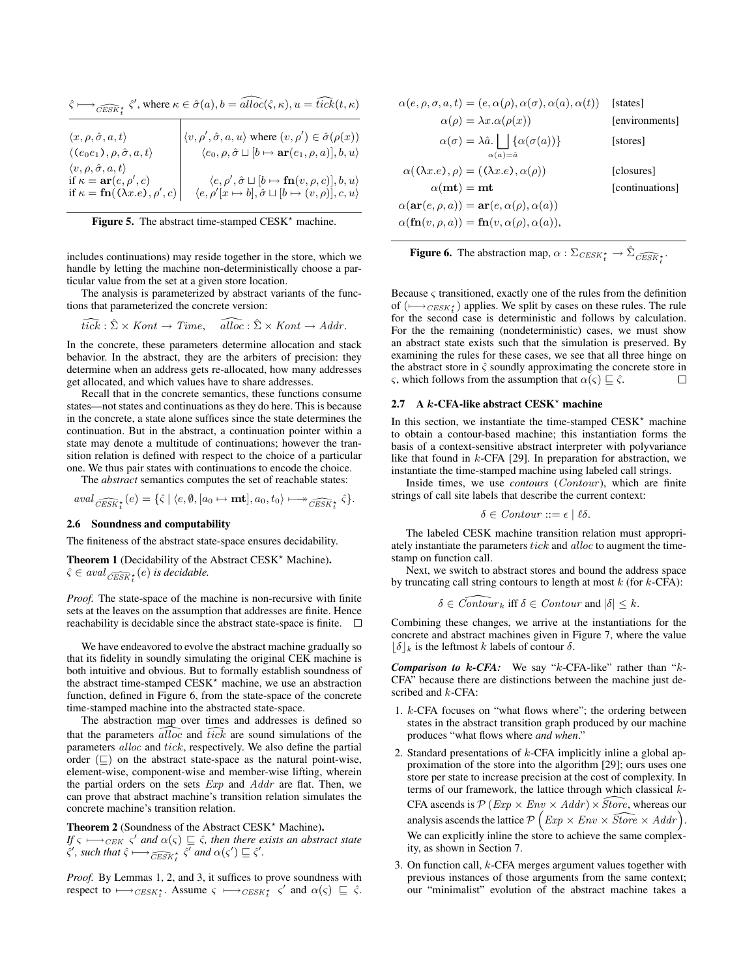|  |  | $\hat{\varsigma} \longmapsto_{\widehat{CESR}_t^{\star}} \hat{\varsigma}', \text{ where } \kappa \in \hat{\sigma}(a), b = \widehat{alloc}(\hat{\varsigma}, \kappa), u = \widehat{tick}(t, \kappa)$ |
|--|--|---------------------------------------------------------------------------------------------------------------------------------------------------------------------------------------------------|
|  |  |                                                                                                                                                                                                   |
|  |  |                                                                                                                                                                                                   |

| $\langle x, \rho, \hat{\sigma}, a, t \rangle$                                                                                                | $\big  \langle v, \rho', \hat{\sigma}, a, u \rangle \text{ where } (v, \rho') \in \hat{\sigma}(\rho(x))$                                                                                         |
|----------------------------------------------------------------------------------------------------------------------------------------------|--------------------------------------------------------------------------------------------------------------------------------------------------------------------------------------------------|
| $\langle (e_0e_1), \rho, \hat{\sigma}, a, t \rangle$                                                                                         | $\langle e_0, \rho, \hat \sigma \sqcup [b \mapsto \operatorname{\sf ar}(e_1, \rho, a)], b, u \rangle$                                                                                            |
| $\langle v, \rho, \hat{\sigma}, a, t \rangle$<br>if $\kappa = \mathbf{ar}(e, \rho', c)$<br>if $\kappa = \mathbf{fn}(\lambda x.e), \rho', c)$ | $\langle e, \rho', \hat{\sigma} \sqcup [b \mapsto \mathbf{fn}(v, \rho, c)], b, u \rangle$<br>$\langle e, \rho' \vert x \mapsto b \vert, \hat{\sigma} \sqcup [b \mapsto (v, \rho)], c, u \rangle$ |

<span id="page-4-1"></span>**Figure 5.** The abstract time-stamped  $CESK^*$  machine.

includes continuations) may reside together in the store, which we handle by letting the machine non-deterministically choose a particular value from the set at a given store location.

The analysis is parameterized by abstract variants of the functions that parameterized the concrete version:

$$
\widehat{tick}: \widehat{\Sigma} \times Kont \to Time, \quad \widehat{alloc}: \widehat{\Sigma} \times Kont \to Addr.
$$

In the concrete, these parameters determine allocation and stack behavior. In the abstract, they are the arbiters of precision: they determine when an address gets re-allocated, how many addresses get allocated, and which values have to share addresses.

Recall that in the concrete semantics, these functions consume states—not states and continuations as they do here. This is because in the concrete, a state alone suffices since the state determines the continuation. But in the abstract, a continuation pointer within a state may denote a multitude of continuations; however the transition relation is defined with respect to the choice of a particular one. We thus pair states with continuations to encode the choice.

The *abstract* semantics computes the set of reachable states:

$$
aval_{\widetilde{CESK}_{t}^{\star}}(e) = \{\hat{\varsigma} \mid \langle e, \emptyset, [a_0 \mapsto \mathbf{m}t], a_0, t_0 \rangle \longmapsto_{\widetilde{CESK}_{t}^{\star}} \hat{\varsigma} \}.
$$

#### <span id="page-4-3"></span>2.6 Soundness and computability

The finiteness of the abstract state-space ensures decidability.

Theorem 1 (Decidability of the Abstract CESK<sup>\*</sup> Machine).  $\hat{\varsigma} \in \textit{aval}_{\widehat{CESK}_{t}^{\star}}(e)$  is decidable.

*Proof.* The state-space of the machine is non-recursive with finite sets at the leaves on the assumption that addresses are finite. Hence reachability is decidable since the abstract state-space is finite.  $\Box$ 

We have endeavored to evolve the abstract machine gradually so that its fidelity in soundly simulating the original CEK machine is both intuitive and obvious. But to formally establish soundness of the abstract time-stamped CESK<sup>\*</sup> machine, we use an abstraction function, defined in Figure [6,](#page-4-2) from the state-space of the concrete time-stamped machine into the abstracted state-space.

The abstraction map over times and addresses is defined so that the parameters  $\widehat{alloc}$  and  $\widehat{tick}$  are sound simulations of the parameters alloc and tick, respectively. We also define the partial order  $(\square)$  on the abstract state-space as the natural point-wise, element-wise, component-wise and member-wise lifting, wherein the partial orders on the sets  $Exp$  and  $Addr$  are flat. Then, we can prove that abstract machine's transition relation simulates the concrete machine's transition relation.

## Theorem 2 (Soundness of the Abstract CESK<sup>\*</sup> Machine).

*If*  $\varsigma \mapsto_{CEK} \varsigma'$  and  $\alpha(\varsigma) \sqsubseteq \hat{\varsigma}$ , then there exists an abstract state  $\hat{\zeta}'$ , such that  $\hat{\zeta} \longmapsto \widehat{CESK_t^*} \; \hat{\zeta}'$  and  $\alpha(\zeta') \sqsubseteq \hat{\zeta}'$ .

*Proof.* By Lemmas [1,](#page-2-3) [2,](#page-3-4) and [3,](#page-3-5) it suffices to prove soundness with respect to  $\longmapsto_{CESK_t^*}$ . Assume  $\varsigma \longmapsto_{CESK_t^*} \varsigma'$  and  $\alpha(\varsigma) \sqsubseteq \hat{\varsigma}$ .

$$
\alpha(e, \rho, \sigma, a, t) = (e, \alpha(\rho), \alpha(\sigma), \alpha(a), \alpha(t)) \quad \text{[states]}
$$
\n
$$
\alpha(\rho) = \lambda x. \alpha(\rho(x)) \quad \text{[enviromments]}
$$
\n
$$
\alpha(\sigma) = \lambda \hat{a} \cdot \bigsqcup_{\alpha(a) = \hat{a}} \{\alpha(\sigma(a))\} \quad \text{[stores]}
$$
\n
$$
\alpha(\lambda x. e), \rho) = (\lambda x. e), \alpha(\rho) \quad \text{[closure]}
$$
\n
$$
\alpha(\mathbf{mt}) = \mathbf{mt} \quad \text{[continuous]}
$$
\n
$$
\alpha(\mathbf{ar}(e, \rho, a)) = \mathbf{ar}(e, \alpha(\rho), \alpha(a))
$$
\n
$$
\alpha(\mathbf{fn}(v, \rho, a)) = \mathbf{fn}(v, \alpha(\rho), \alpha(a)),
$$

<span id="page-4-2"></span>**Figure 6.** The abstraction map, 
$$
\alpha : \Sigma_{CESK_t^*} \to \hat{\Sigma}_{\widehat{CESK_t^*}}
$$
.

Because  $\varsigma$  transitioned, exactly one of the rules from the definition of ( $\longmapsto$ CESK $^*$ ) applies. We split by cases on these rules. The rule for the second case is deterministic and follows by calculation. For the the remaining (nondeterministic) cases, we must show an abstract state exists such that the simulation is preserved. By examining the rules for these cases, we see that all three hinge on the abstract store in  $\hat{\varsigma}$  soundly approximating the concrete store in ς, which follows from the assumption that  $\alpha(\varsigma) \sqsubseteq \hat{\varsigma}$ . П

#### <span id="page-4-0"></span>2.7 A  $k$ -CFA-like abstract CESK<sup>\*</sup> machine

In this section, we instantiate the time-stamped  $CESK<sup>*</sup>$  machine to obtain a contour-based machine; this instantiation forms the basis of a context-sensitive abstract interpreter with polyvariance like that found in  $k$ -CFA [\[29\]](#page-11-10). In preparation for abstraction, we instantiate the time-stamped machine using labeled call strings.

Inside times, we use *contours* (Contour), which are finite strings of call site labels that describe the current context:

$$
\delta \in Contour ::= \epsilon \mid \ell \delta.
$$

The labeled CESK machine transition relation must appropriately instantiate the parameters  $tick$  and  $alloc$  to augment the timestamp on function call.

Next, we switch to abstract stores and bound the address space by truncating call string contours to length at most  $k$  (for  $k$ -CFA):

$$
\delta \in \widehat{Contour_k} \text{ iff } \delta \in Contour \text{ and } |\delta| \leq k.
$$

Combining these changes, we arrive at the instantiations for the concrete and abstract machines given in Figure [7,](#page-5-1) where the value  $|\delta|_k$  is the leftmost k labels of contour  $\delta$ .

*Comparison to* k*-CFA:* We say "k-CFA-like" rather than "k-CFA" because there are distinctions between the machine just described and k-CFA:

- 1. k-CFA focuses on "what flows where"; the ordering between states in the abstract transition graph produced by our machine produces "what flows where *and when*."
- 2. Standard presentations of  $k$ -CFA implicitly inline a global approximation of the store into the algorithm [\[29\]](#page-11-10); ours uses one store per state to increase precision at the cost of complexity. In terms of our framework, the lattice through which classical  $k$ -CFA ascends is  $P$  (*Exp*  $\times$  *Env*  $\times$  *Addr*)  $\times$  *Store*, whereas our analysis ascends the lattice  $\mathcal{P}\left( Exp \times Env \times \widehat{Store} \times Addr \right)$ . We can explicitly inline the store to achieve the same complexity, as shown in Section [7.](#page-9-0)
- 3. On function call, k-CFA merges argument values together with previous instances of those arguments from the same context; our "minimalist" evolution of the abstract machine takes a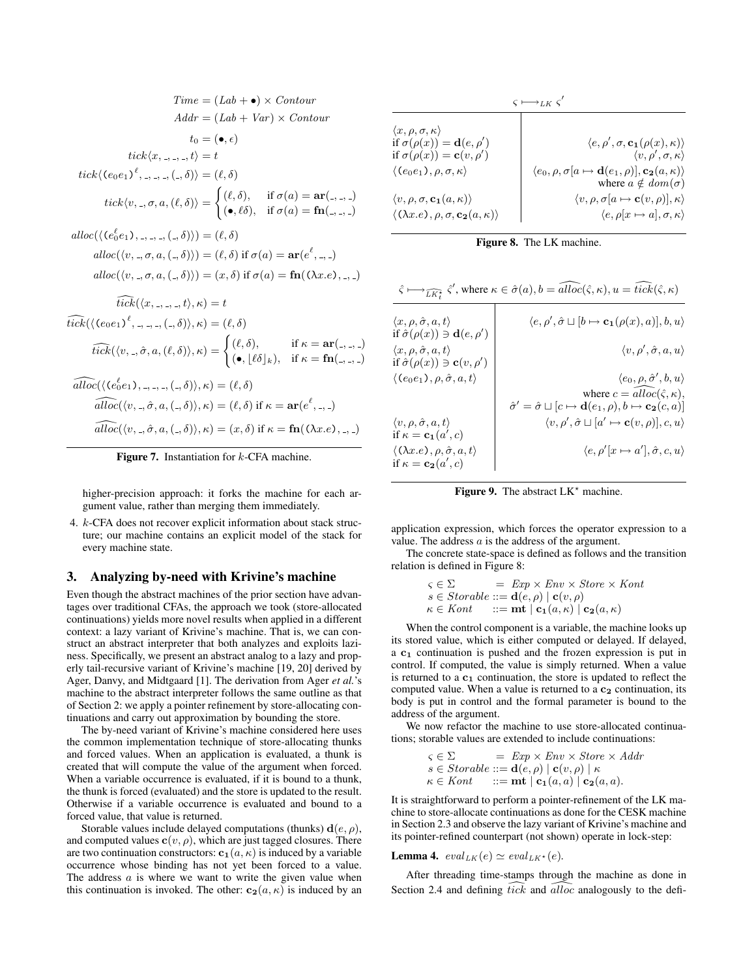$$
Time = (Lab + \bullet) \times Contour
$$
  
\n
$$
Addr = (Lab + Var) \times Contour
$$
  
\n
$$
to = (\bullet, \epsilon)
$$
  
\n
$$
tick \langle x, -, -, -, t \rangle = t
$$
  
\n
$$
tick \langle (e_0e_1)^{\ell}, -, -, -, (., \delta) \rangle = (\ell, \delta)
$$
  
\n
$$
tick \langle v, -, \sigma, a, (\ell, \delta) \rangle = \begin{cases} (\ell, \delta), & \text{if } \sigma(a) = \mathbf{ar}(., -, -) \\ (\bullet, \ell\delta), & \text{if } \sigma(a) = \mathbf{fn}(., -, -) \end{cases}
$$
  
\n
$$
alloc(\langle (e_0^{\ell}e_1), -, -, -, (., \delta) \rangle) = (\ell, \delta)
$$
  
\n
$$
alloc(\langle v, -, \sigma, a, (., \delta) \rangle) = (\ell, \delta) \text{ if } \sigma(a) = \mathbf{cn}(e^{\ell}, -, -)
$$
  
\n
$$
alloc(\langle v, -, \sigma, a, (., \delta) \rangle) = (x, \delta) \text{ if } \sigma(a) = \mathbf{fn}(\langle \lambda x. e), -, -)
$$
  
\n
$$
tick (\langle e_0e_1 \rangle^{\ell}, -, -, -, t \rangle, \kappa) = t
$$
  
\n
$$
tick (\langle e_0e_1 \rangle^{\ell}, -, -, -, (., \delta) \rangle, \kappa) = (\ell, \delta)
$$
  
\n
$$
tick (\langle v, -, \hat{\sigma}, a, (\ell, \delta) \rangle, \kappa) = (\ell, \delta)
$$
  
\n
$$
alloc(\langle (e_0^{\ell}e_1), -, -, -, (., \delta) \rangle, \kappa) = (\ell, \delta)
$$
  
\n
$$
alloc(\langle v, -, \hat{\sigma}, a, (., \delta) \rangle, \kappa) = (e, \delta) \text{ if } \kappa = \mathbf{cn}(e^{\ell}, -, -)
$$
  
\n
$$
alloc(\langle v, -, \hat{\sigma}, a, (., \delta) \rangle, \kappa) = (x, \delta) \text{ if } \kappa = \mathbf{fn}(\langle \lambda x. e), -, -)
$$

<span id="page-5-1"></span>

higher-precision approach: it forks the machine for each argument value, rather than merging them immediately.

4. k-CFA does not recover explicit information about stack structure; our machine contains an explicit model of the stack for every machine state.

## <span id="page-5-0"></span>3. Analyzing by-need with Krivine's machine

Even though the abstract machines of the prior section have advantages over traditional CFAs, the approach we took (store-allocated continuations) yields more novel results when applied in a different context: a lazy variant of Krivine's machine. That is, we can construct an abstract interpreter that both analyzes and exploits laziness. Specifically, we present an abstract analog to a lazy and properly tail-recursive variant of Krivine's machine [\[19,](#page-11-11) [20\]](#page-11-12) derived by Ager, Danvy, and Midtgaard [\[1\]](#page-11-2). The derivation from Ager *et al.*'s machine to the abstract interpreter follows the same outline as that of Section [2:](#page-1-0) we apply a pointer refinement by store-allocating continuations and carry out approximation by bounding the store.

The by-need variant of Krivine's machine considered here uses the common implementation technique of store-allocating thunks and forced values. When an application is evaluated, a thunk is created that will compute the value of the argument when forced. When a variable occurrence is evaluated, if it is bound to a thunk, the thunk is forced (evaluated) and the store is updated to the result. Otherwise if a variable occurrence is evaluated and bound to a forced value, that value is returned.

Storable values include delayed computations (thunks)  $d(e, \rho)$ , and computed values  $\mathbf{c}(v, \rho)$ , which are just tagged closures. There are two continuation constructors:  $c_1(a, \kappa)$  is induced by a variable occurrence whose binding has not yet been forced to a value. The address  $a$  is where we want to write the given value when this continuation is invoked. The other:  $c_2(a, \kappa)$  is induced by an

 $\varsigma \longmapsto_{LK} \varsigma'$ 

| $\langle x, \rho, \sigma, \kappa \rangle$<br>if $\sigma(\rho(x)) = \mathbf{d}(e, \rho')$ | $\langle e, \rho', \sigma, \mathbf{c_1}(\rho(x), \kappa) \rangle$                                                                |
|------------------------------------------------------------------------------------------|----------------------------------------------------------------------------------------------------------------------------------|
| if $\sigma(\rho(x)) = \mathbf{c}(v, \rho')$                                              | $\langle v, \rho', \sigma, \kappa \rangle$                                                                                       |
| $\langle (e_0e_1), \rho, \sigma, \kappa \rangle$                                         | $\langle e_0, \rho, \sigma   a \mapsto \mathbf{d}(e_1, \rho)  , \mathbf{c_2}(a, \kappa) \rangle$<br>where $a \notin dom(\sigma)$ |
| $\langle v, \rho, \sigma, {\bf c_1}(a, \kappa) \rangle$                                  | $\langle v, \rho, \sigma   a \mapsto \mathbf{c}(v, \rho)  , \kappa \rangle$                                                      |
| $\langle (\lambda x.e), \rho, \sigma, c_2(a, \kappa) \rangle$                            | $\langle e, \rho[x \mapsto a], \sigma, \kappa \rangle$                                                                           |

<span id="page-5-2"></span>Figure 8. The LK machine.

|                                                                                                      | $\hat{\varsigma} \longmapsto_{\widehat{LK}_{\star}^{\star}} \hat{\varsigma}'$ , where $\kappa \in \hat{\sigma}(a), b = alloc(\hat{\varsigma}, \kappa), u = tick(\hat{\varsigma}, \kappa)$ |
|------------------------------------------------------------------------------------------------------|-------------------------------------------------------------------------------------------------------------------------------------------------------------------------------------------|
| $\langle x, \rho, \hat{\sigma}, a, t \rangle$<br>if $\hat{\sigma}(\rho(x)) \ni \mathbf{d}(e, \rho')$ | $\langle e, \rho', \hat{\sigma} \sqcup [b \mapsto {\bf c_1}(\rho(x), a)], b, u \rangle$                                                                                                   |
| $\langle x,\rho,\hat{\sigma},a,t\rangle$<br>if $\hat{\sigma}(\rho(x)) \ni \mathbf{c}(v, \rho')$      | $\langle v, \rho', \hat{\sigma}, a, u \rangle$                                                                                                                                            |
| $\langle (e_0e_1), \rho, \hat{\sigma}, a, t \rangle$                                                 | $\langle e_0, \rho, \hat{\sigma}', b, u \rangle$                                                                                                                                          |
|                                                                                                      | where $c = alloc(\hat{\varsigma}, \kappa),$                                                                                                                                               |
|                                                                                                      | $\hat{\sigma}' = \hat{\sigma} \sqcup [c \mapsto \mathbf{d}(e_1, \rho), b \mapsto \mathbf{c_2}(c, a)]$                                                                                     |
| $\langle v, \rho, \hat{\sigma}, a, t \rangle$                                                        | $\langle v, \rho', \hat{\sigma} \sqcup [a' \mapsto \mathbf{c}(v, \rho)], c, u \rangle$                                                                                                    |
| if $\kappa = \mathbf{c_1}(a', c)$                                                                    |                                                                                                                                                                                           |

<span id="page-5-3"></span>Figure 9. The abstract  $LK^*$  machine.

 $[x \mapsto a'], \hat{\sigma}, c, u \rangle$ 

 $\langle (\lambda x.e), \rho, \hat{\sigma}, a, t \rangle$ 

if  $\kappa = \mathbf{c_2}(a', c)$ 

application expression, which forces the operator expression to a value. The address  $a$  is the address of the argument.

The concrete state-space is defined as follows and the transition relation is defined in Figure [8:](#page-5-2)

$$
\begin{array}{rcl}\n\varsigma \in \Sigma & = & \operatorname{Exp} \times \operatorname{Env} \times \operatorname{Store} \times \operatorname{Kont} \\
s \in \operatorname{Storable} ::= \mathbf{d}(e, \rho) \mid \mathbf{c}(v, \rho) \\
\kappa \in \operatorname{Kont} & ::= \mathbf{mt} \mid \mathbf{c_1}(a, \kappa) \mid \mathbf{c_2}(a, \kappa)\n\end{array}
$$

When the control component is a variable, the machine looks up its stored value, which is either computed or delayed. If delayed, a  $c_1$  continuation is pushed and the frozen expression is put in control. If computed, the value is simply returned. When a value is returned to a  $c_1$  continuation, the store is updated to reflect the computed value. When a value is returned to a  $c_2$  continuation, its body is put in control and the formal parameter is bound to the address of the argument.

We now refactor the machine to use store-allocated continuations; storable values are extended to include continuations:

$$
\begin{array}{rcl}\n\varsigma \in \Sigma & = & Exp \times Env \times Store \times Addr \\
s \in Storable ::= \mathbf{d}(e, \rho) \mid \mathbf{c}(v, \rho) \mid \kappa \\
\kappa \in Kont & ::= \mathbf{mt} \mid \mathbf{c}_1(a, a) \mid \mathbf{c}_2(a, a).\n\end{array}
$$

It is straightforward to perform a pointer-refinement of the LK machine to store-allocate continuations as done for the CESK machine in Section [2.3](#page-2-0) and observe the lazy variant of Krivine's machine and its pointer-refined counterpart (not shown) operate in lock-step:

**Lemma 4.**  $eval_{LK}(e) \simeq eval_{LK^*}(e)$ .

After threading time-stamps through the machine as done in Section [2.4](#page-3-6) and defining tick and alloc analogously to the defi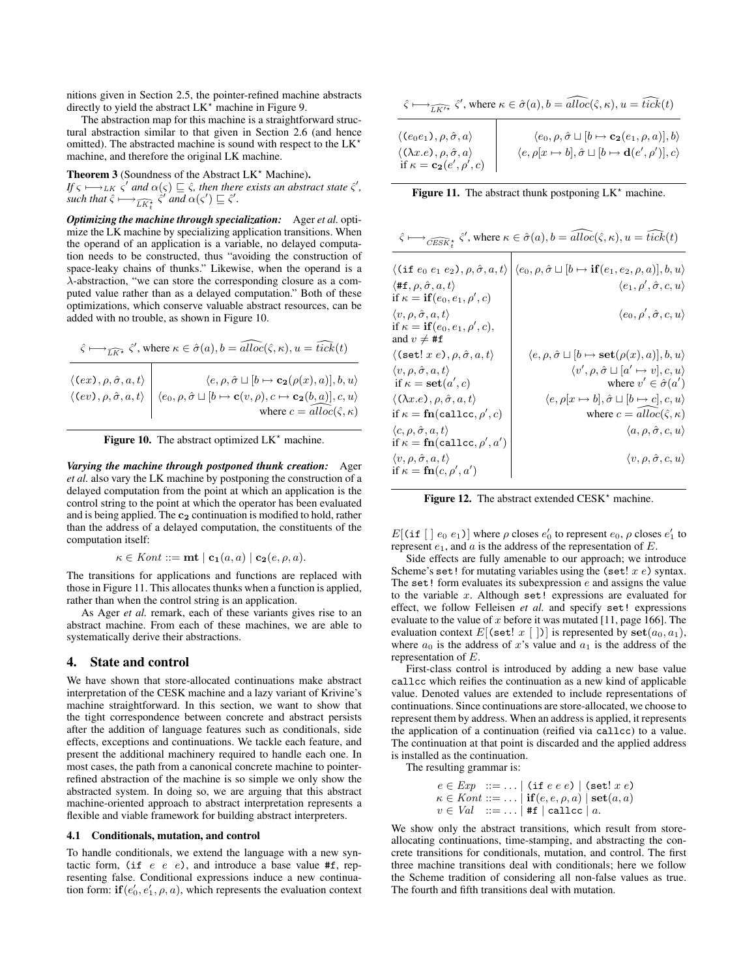nitions given in Section [2.5,](#page-3-7) the pointer-refined machine abstracts directly to yield the abstract  $LK^*$  machine in Figure [9.](#page-5-3)

The abstraction map for this machine is a straightforward structural abstraction similar to that given in Section [2.6](#page-4-3) (and hence omitted). The abstracted machine is sound with respect to the  $LK^*$ machine, and therefore the original LK machine.

**Theorem 3** (Soundness of the Abstract  $LK^*$  Machine). *If*  $\varsigma \longmapsto$ <sub>*LK*</sub>  $\varsigma'$  and  $\alpha(\varsigma) \sqsubseteq \hat{\varsigma}$ , then there exists an abstract state  $\hat{\varsigma}'$ ,  $\text{such that } \hat{\varsigma} \longmapsto \widehat{LK_t^*} \hat{\varsigma}' \text{ and } \alpha(\varsigma') \sqsubseteq \hat{\varsigma}'.$ 

*Optimizing the machine through specialization:* Ager *et al.* optimize the LK machine by specializing application transitions. When the operand of an application is a variable, no delayed computation needs to be constructed, thus "avoiding the construction of space-leaky chains of thunks." Likewise, when the operand is a λ-abstraction, "we can store the corresponding closure as a computed value rather than as a delayed computation." Both of these optimizations, which conserve valuable abstract resources, can be added with no trouble, as shown in Figure [10.](#page-6-1)

$$
\begin{array}{c|c}\n\hat{\zeta} \longmapsto_{\widehat{LR^*}} \hat{\zeta}', \text{ where } \kappa \in \hat{\sigma}(a), b = \widehat{alloc}(\hat{\zeta}, \kappa), u = \widehat{tick}(t) \\
\hline\n\langle (ex), \rho, \hat{\sigma}, a, t \rangle & \langle e, \rho, \hat{\sigma} \sqcup [b \mapsto \mathbf{c}_2(\rho(x), a)], b, u \rangle \\
\langle (ev), \rho, \hat{\sigma}, a, t \rangle & \langle e_0, \rho, \hat{\sigma} \sqcup [b \mapsto \mathbf{c}(v, \rho), c \mapsto \mathbf{c}_2(b, a)], c, u \rangle \\
\text{where } c = \widehat{alloc}(\hat{\zeta}, \kappa)\n\end{array}
$$

<span id="page-6-1"></span>**Figure 10.** The abstract optimized  $LK^*$  machine.

*Varying the machine through postponed thunk creation:* Ager *et al.* also vary the LK machine by postponing the construction of a delayed computation from the point at which an application is the control string to the point at which the operator has been evaluated and is being applied. The  $c_2$  continuation is modified to hold, rather than the address of a delayed computation, the constituents of the computation itself:

$$
\kappa \in \text{Kont} ::= \mathbf{mt} \mid \mathbf{c_1}(a, a) \mid \mathbf{c_2}(e, \rho, a).
$$

The transitions for applications and functions are replaced with those in Figure [11.](#page-6-2) This allocates thunks when a function is applied, rather than when the control string is an application.

As Ager *et al.* remark, each of these variants gives rise to an abstract machine. From each of these machines, we are able to systematically derive their abstractions.

## <span id="page-6-0"></span>4. State and control

We have shown that store-allocated continuations make abstract interpretation of the CESK machine and a lazy variant of Krivine's machine straightforward. In this section, we want to show that the tight correspondence between concrete and abstract persists after the addition of language features such as conditionals, side effects, exceptions and continuations. We tackle each feature, and present the additional machinery required to handle each one. In most cases, the path from a canonical concrete machine to pointerrefined abstraction of the machine is so simple we only show the abstracted system. In doing so, we are arguing that this abstract machine-oriented approach to abstract interpretation represents a flexible and viable framework for building abstract interpreters.

## 4.1 Conditionals, mutation, and control

To handle conditionals, we extend the language with a new syntactic form, (if  $e \neq e$ ), and introduce a base value #f, representing false. Conditional expressions induce a new continuation form: if  $(e'_0, e'_1, \rho, a)$ , which represents the evaluation context

| $\hat{\varsigma} \longmapsto \widehat{LK^{r*}} \hat{\varsigma}'$ , where $\kappa \in \hat{\sigma}(a), b = \widehat{alloc}(\hat{\varsigma}, \kappa), u = \widehat{tick}(t)$ |  |
|----------------------------------------------------------------------------------------------------------------------------------------------------------------------------|--|
|                                                                                                                                                                            |  |

| $\langle (e_0 e_1), \rho, \hat{\sigma}, a \rangle$                                                 | $\langle e_0, \rho, \hat{\sigma} \sqcup [b \mapsto \mathbf{c_2}(e_1, \rho, a)], b \rangle$       |
|----------------------------------------------------------------------------------------------------|--------------------------------------------------------------------------------------------------|
| $\langle (\lambda x.e), \rho, \hat{\sigma}, a \rangle$<br>if $\kappa = \mathbf{c_2}(e', \rho', c)$ | $\langle e, \rho[x \mapsto b], \hat{\sigma} \sqcup [b \mapsto \mathbf{d}(e', \rho')], c \rangle$ |
|                                                                                                    |                                                                                                  |

<span id="page-6-2"></span>Figure 11. The abstract thunk postponing  $LK^*$  machine.

| $\hat{\varsigma} \longmapsto \widehat{CESKz^*}$ , where $\kappa \in \hat{\sigma}(a), b = alloc(\hat{\varsigma}, \kappa), u = tick(t)$ |                                                                                                         |  |
|---------------------------------------------------------------------------------------------------------------------------------------|---------------------------------------------------------------------------------------------------------|--|
| $\langle$ (if $e_0$ $e_1$ $e_2$ ), $\rho$ , $\hat{\sigma}$ , $a$ , $t\rangle$                                                         | $\vert \langle e_0, \rho, \hat{\sigma} \sqcup [b \mapsto \textbf{if}(e_1, e_2, \rho, a)], b, u \rangle$ |  |
| $\langle \#f, \rho, \hat{\sigma}, a, t \rangle$<br>if $\kappa = \textbf{if}(e_0, e_1, \rho', c)$                                      | $\langle e_1, \rho', \hat{\sigma}, c, u \rangle$                                                        |  |
| $\langle v, \rho, \hat{\sigma}, a, t \rangle$<br>if $\kappa = \mathbf{if}(e_0, e_1, \rho', c)$ ,<br>and $v \neq #f$                   | $\langle e_0, \rho', \hat{\sigma}, c, u \rangle$                                                        |  |
| $\langle$ (set! x e), $\rho$ , $\hat{\sigma}$ , a, t $\rangle$                                                                        | $\langle e, \rho, \hat{\sigma} \sqcup [b \mapsto \mathbf{set}(\rho(x), a)], b, u \rangle$               |  |
| $\langle v, \rho, \hat{\sigma}, a, t \rangle$<br>if $\kappa = \textbf{set}(a', c)$                                                    | $\langle v', \rho, \hat{\sigma} \sqcup [a' \mapsto v], c, u \rangle$<br>where $v' \in \hat{\sigma}(a')$ |  |
| $\langle (\lambda x.e), \rho, \hat{\sigma}, a, t \rangle$                                                                             | $\langle e, \rho   x \mapsto b  , \hat{\sigma} \sqcup [b \mapsto c  , c, u \rangle$                     |  |
| if $\kappa = \mathbf{fn}(\texttt{called}.\rho',c)$                                                                                    | where $c = alloc(\hat{\varsigma}, \kappa)$                                                              |  |
| $\langle c, \rho, \hat{\sigma}, a, t \rangle$<br>if $\kappa = \mathbf{fn}(\texttt{called} \mathsf{c}, \rho', a')$                     | $\langle a, \rho, \hat{\sigma}, c, u \rangle$                                                           |  |
| $\langle v, \rho, \hat{\sigma}, a, t \rangle$<br>if $\kappa = \mathbf{fn}(c, \rho', a')$                                              | $\langle v, \rho, \hat{\sigma}, c, u \rangle$                                                           |  |

Figure 12. The abstract extended  $CESK^*$  machine.

 $E[$ (if  $[$   $]$   $e_0$   $e_1$ ) $]$  where  $\rho$  closes  $e'_0$  to represent  $e_0$ ,  $\rho$  closes  $e'_1$  to represent  $e_1$ , and  $a$  is the address of the representation of  $E$ .

Side effects are fully amenable to our approach; we introduce Scheme's set! for mutating variables using the (set!  $x e$ ) syntax. The set! form evaluates its subexpression  $e$  and assigns the value to the variable  $x$ . Although set! expressions are evaluated for effect, we follow Felleisen *et al.* and specify set! expressions evaluate to the value of  $x$  before it was mutated [\[11,](#page-11-6) page 166]. The evaluation context  $E[(set! x [ ])]$  is represented by  $set(a_0, a_1)$ , where  $a_0$  is the address of x's value and  $a_1$  is the address of the representation of E.

First-class control is introduced by adding a new base value callcc which reifies the continuation as a new kind of applicable value. Denoted values are extended to include representations of continuations. Since continuations are store-allocated, we choose to represent them by address. When an address is applied, it represents the application of a continuation (reified via callcc) to a value. The continuation at that point is discarded and the applied address is installed as the continuation.

The resulting grammar is:

 $e \in Exp$  ::= ... | (if  $e e e$ ) | (set!  $x e$ )  $\kappa \in$  Kont ::= ... | **if** $(e, e, \rho, a)$  | **set** $(a, a)$  $v \in Val$  ::= ... | #f | callcc | a.

We show only the abstract transitions, which result from storeallocating continuations, time-stamping, and abstracting the concrete transitions for conditionals, mutation, and control. The first three machine transitions deal with conditionals; here we follow the Scheme tradition of considering all non-false values as true. The fourth and fifth transitions deal with mutation.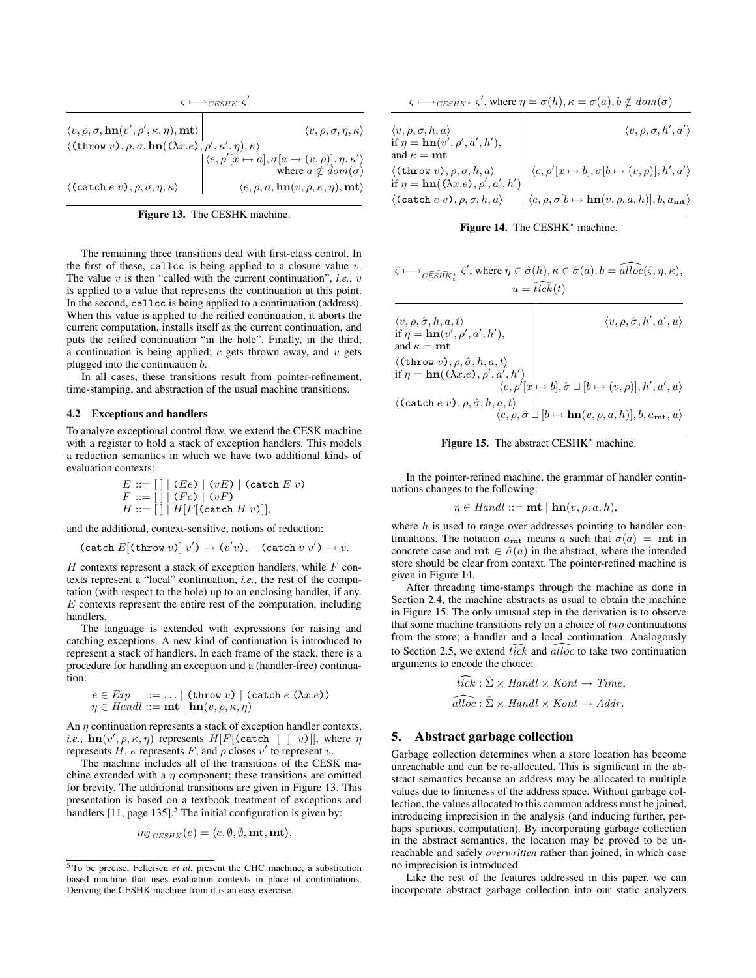| $\varsigma \longmapsto_{CESHK} \varsigma'$                                                                              |                                                                                                                                                                                  |  |
|-------------------------------------------------------------------------------------------------------------------------|----------------------------------------------------------------------------------------------------------------------------------------------------------------------------------|--|
| $\langle v, \rho, \sigma, \mathbf{hn}(v', \rho', \kappa, \eta), \mathbf{mt} \rangle \Big $                              | $\langle v, \rho, \sigma, \eta, \kappa \rangle$                                                                                                                                  |  |
| $\langle$ (throw v), $\rho$ , $\sigma$ , $\text{hn}(\langle \lambda x.e \rangle, \rho', \kappa', \eta), \kappa \rangle$ |                                                                                                                                                                                  |  |
|                                                                                                                         | $\left\{\begin{matrix} \langle e, \rho'[\xrightarrow{\alpha'} a], \sigma[a \mapsto (v, \rho)], \eta, \kappa' \rangle \\ \text{where } a \notin dom(\sigma) \end{matrix}\right\}$ |  |
| $\langle$ (catch e v), $\rho$ , $\sigma$ , $\eta$ , $\kappa$ $\rangle$                                                  | $\langle e, \rho, \sigma, \mathbf{hn}(v, \rho, \kappa, \eta), \mathbf{mt} \rangle$                                                                                               |  |

<span id="page-7-0"></span>Figure 13. The CESHK machine.

The remaining three transitions deal with first-class control. In the first of these, callcc is being applied to a closure value  $v$ . The value  $v$  is then "called with the current continuation", *i.e.*,  $v$ is applied to a value that represents the continuation at this point. In the second, callcc is being applied to a continuation (address). When this value is applied to the reified continuation, it aborts the current computation, installs itself as the current continuation, and puts the reified continuation "in the hole". Finally, in the third, a continuation is being applied;  $c$  gets thrown away, and  $v$  gets plugged into the continuation b.

In all cases, these transitions result from pointer-refinement, time-stamping, and abstraction of the usual machine transitions.

## 4.2 Exceptions and handlers

To analyze exceptional control flow, we extend the CESK machine with a register to hold a stack of exception handlers. This models a reduction semantics in which we have two additional kinds of evaluation contexts:

$$
E ::= [\ ] | (Ee) | (vE) | (catch E v)
$$
  

$$
F ::= [\ ] | (Fe) | (vF)
$$
  

$$
H ::= [\ ] | H[F[ (catch H v)]],
$$

and the additional, context-sensitive, notions of reduction:

$$
(\hbox{\tt catch}\; E[(\hbox{\tt throw}\; v)]\; v') \to (v'v), \quad (\hbox{\tt catch}\; v\; v') \to v.
$$

 $H$  contexts represent a stack of exception handlers, while  $F$  contexts represent a "local" continuation, *i.e.*, the rest of the computation (with respect to the hole) up to an enclosing handler, if any.  $E$  contexts represent the entire rest of the computation, including handlers.

The language is extended with expressions for raising and catching exceptions. A new kind of continuation is introduced to represent a stack of handlers. In each frame of the stack, there is a procedure for handling an exception and a (handler-free) continuation:

$$
e \in Exp \quad ::= \dots \mid (\text{throw } v) \mid (\text{catch } e \ (\lambda x.e))
$$

$$
\eta \in Handl ::= \textbf{mt} \mid \textbf{hn}(v, \rho, \kappa, \eta)
$$

An  $\eta$  continuation represents a stack of exception handler contexts, *i.e.*,  $\mathbf{hn}(v', \rho, \kappa, \eta)$  represents  $H[F[$  (catch  $[$   $]$  v)]], where  $\eta$ represents H,  $\kappa$  represents F, and  $\rho$  closes v' to represent v.

The machine includes all of the transitions of the CESK machine extended with a  $\eta$  component; these transitions are omitted for brevity. The additional transitions are given in Figure [13.](#page-7-0) This presentation is based on a textbook treatment of exceptions and handlers  $[11, \text{page } 135]$  $[11, \text{page } 135]$  $[11, \text{page } 135]$  $[11, \text{page } 135]$ .<sup>5</sup> The initial configuration is given by:

$$
inj_{\text{ \tiny CESHK}}(e) = \langle e, \emptyset, \emptyset, \mathbf{mt}, \mathbf{mt} \rangle.
$$

 $\varsigma \longmapsto_{CESHK^*} \varsigma'$ , where  $\eta = \sigma(h)$ ,  $\kappa = \sigma(a)$ ,  $b \notin dom(\sigma)$ 

$$
\begin{array}{ll} \langle v, \rho, \sigma, h, a \rangle & \langle v, \rho, \sigma, h', a' \rangle \\ \text{if} \ \eta = \mathbf{hn}(v', \rho', a', h'), \\ \text{and} \ \kappa = \mathbf{mt} & \\ \langle (\texttt{throw } v), \rho, \sigma, h, a \rangle & \langle e, \rho'[x \mapsto b], \sigma[b \mapsto (v, \rho)], h', a' \rangle \\ \langle (\texttt{catch } e \ v), \rho, \sigma, h, a \rangle & \langle e, \rho, \sigma[b \mapsto \mathbf{hn}(v, \rho, a, h)], b, a_{\mathbf{mt}} \rangle \end{array}
$$

<span id="page-7-2"></span>Figure 14. The CESHK $*$  machine.

$$
\hat{\zeta} \longmapsto_{\widehat{CESHK}_{t}^{*}} \hat{\zeta}', \text{ where } \eta \in \hat{\sigma}(h), \kappa \in \hat{\sigma}(a), b = \widehat{alloc}(\hat{\zeta}, \eta, \kappa),
$$

$$
u = \widehat{tick}(t)
$$

| $\langle v, \rho, \hat{\sigma}, h, a, t \rangle$<br>if $\eta = \mathbf{hn}(v', \rho', a', h'),$<br>and $\kappa = m t$                        | $\langle v, \rho, \hat{\sigma}, h', a', u \rangle$                                                                                                                                                                       |
|----------------------------------------------------------------------------------------------------------------------------------------------|--------------------------------------------------------------------------------------------------------------------------------------------------------------------------------------------------------------------------|
| $\langle$ (throw v), $\rho$ , $\hat{\sigma}$ , $h$ , $a$ , $t\rangle$<br>if $\eta = \mathbf{hn}(\langle \lambda x.e \rangle, \rho', a', h')$ |                                                                                                                                                                                                                          |
| $\langle$ (catch e v), $\rho$ , $\hat{\sigma}$ , h, a, t $\rangle$                                                                           | $\langle e, \rho' \vert x \mapsto b \vert, \hat{\sigma} \sqcup [b \mapsto (v, \rho)], h', a', u \rangle$<br>$\langle e, \rho, \hat{\sigma} \sqcup [b \mapsto \mathbf{hn}(v, \rho, a, h)], b, a_{\mathbf{mt}}, u \rangle$ |

<span id="page-7-3"></span>

In the pointer-refined machine, the grammar of handler continuations changes to the following:

$$
\eta \in \text{Handl} ::= \mathbf{mt} \mid \mathbf{hn}(v, \rho, a, h),
$$

where  $h$  is used to range over addresses pointing to handler continuations. The notation  $a_{\text{mt}}$  means a such that  $\sigma(a) = \text{mt}$  in concrete case and  ${\bf mt} \in \hat{\sigma}(a)$  in the abstract, where the intended store should be clear from context. The pointer-refined machine is given in Figure [14.](#page-7-2)

After threading time-stamps through the machine as done in Section [2.4,](#page-3-6) the machine abstracts as usual to obtain the machine in Figure [15.](#page-7-3) The only unusual step in the derivation is to observe that some machine transitions rely on a choice of *two* continuations from the store; a handler and a local continuation. Analogously to Section [2.5,](#page-3-7) we extend  $\widehat{tick}$  and  $\widehat{alloc}$  to take two continuation arguments to encode the choice:

$$
\widehat{tick} : \widehat{\Sigma} \times Handl \times Kont \to Time,
$$
  
 
$$
\widehat{alloc} : \widehat{\Sigma} \times Handl \times Kont \to Addr.
$$

## 5. Abstract garbage collection

Garbage collection determines when a store location has become unreachable and can be re-allocated. This is significant in the abstract semantics because an address may be allocated to multiple values due to finiteness of the address space. Without garbage collection, the values allocated to this common address must be joined, introducing imprecision in the analysis (and inducing further, perhaps spurious, computation). By incorporating garbage collection in the abstract semantics, the location may be proved to be unreachable and safely *overwritten* rather than joined, in which case no imprecision is introduced.

Like the rest of the features addressed in this paper, we can incorporate abstract garbage collection into our static analyzers

<span id="page-7-1"></span><sup>5</sup> To be precise, Felleisen *et al.* present the CHC machine, a substitution based machine that uses evaluation contexts in place of continuations. Deriving the CESHK machine from it is an easy exercise.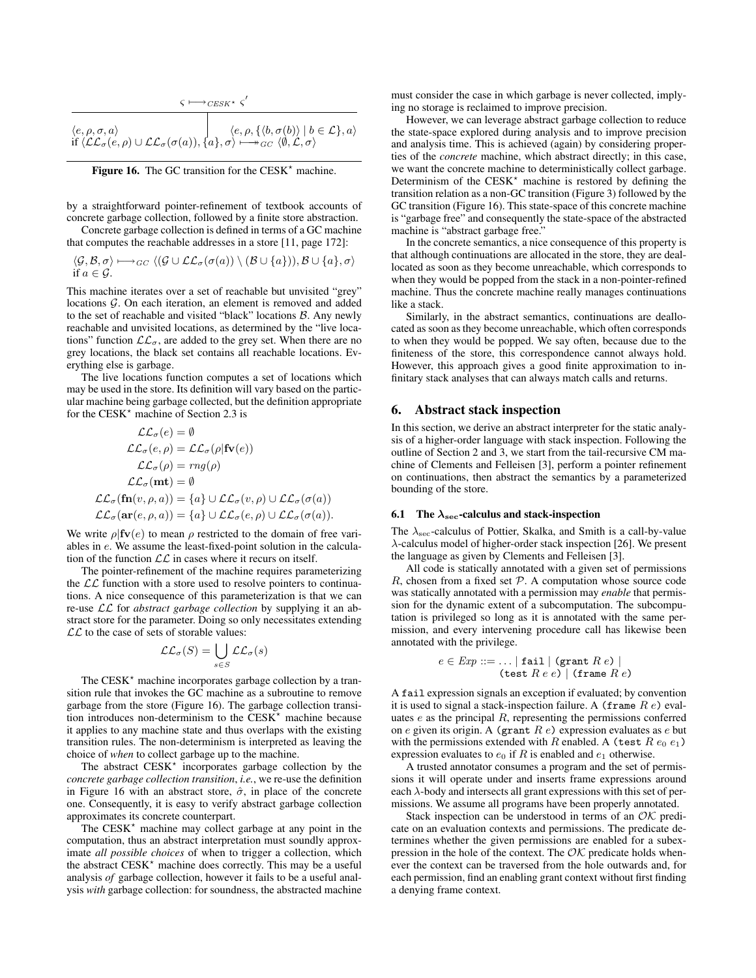| CESK |  |
|------|--|
|------|--|

 $\langle e, \rho, \sigma, a \rangle$   $\langle e, \rho, \{\langle b, \sigma(b)\rangle | b \in \mathcal{L}\}, a \rangle$ if  $\langle \mathcal{LL}_{\sigma}(e, \rho) \cup \mathcal{LL}_{\sigma}(\sigma(a)), \{a\}, \sigma \rangle \longmapsto_{GC} \langle \emptyset, \mathcal{L}, \sigma \rangle$ 

<span id="page-8-1"></span>Figure 16. The GC transition for the CESK $*$  machine.

by a straightforward pointer-refinement of textbook accounts of concrete garbage collection, followed by a finite store abstraction.

Concrete garbage collection is defined in terms of a GC machine that computes the reachable addresses in a store [\[11,](#page-11-6) page 172]:

$$
\langle \mathcal{G}, \mathcal{B}, \sigma \rangle \longmapsto_{GC} \langle (\mathcal{G} \cup \mathcal{LL}_{\sigma}(\sigma(a)) \setminus (\mathcal{B} \cup \{a\})), \mathcal{B} \cup \{a\}, \sigma \rangle
$$
  
if  $a \in \mathcal{G}$ .

This machine iterates over a set of reachable but unvisited "grey" locations G. On each iteration, an element is removed and added to the set of reachable and visited "black" locations B. Any newly reachable and unvisited locations, as determined by the "live locations" function  $\mathcal{LL}_{\sigma}$ , are added to the grey set. When there are no grey locations, the black set contains all reachable locations. Everything else is garbage.

The live locations function computes a set of locations which may be used in the store. Its definition will vary based on the particular machine being garbage collected, but the definition appropriate for the CESK<sup> $\star$ </sup> machine of Section [2.3](#page-2-0) is

$$
\mathcal{LL}_{\sigma}(e) = \emptyset
$$
  
\n
$$
\mathcal{LL}_{\sigma}(e, \rho) = \mathcal{LL}_{\sigma}(\rho | \mathbf{fv}(e))
$$
  
\n
$$
\mathcal{LL}_{\sigma}(\rho) = rng(\rho)
$$
  
\n
$$
\mathcal{LL}_{\sigma}(\mathbf{mt}) = \emptyset
$$
  
\n
$$
\mathcal{LL}_{\sigma}(\mathbf{fn}(v, \rho, a)) = \{a\} \cup \mathcal{LL}_{\sigma}(v, \rho) \cup \mathcal{LL}_{\sigma}(\sigma(a))
$$
  
\n
$$
\mathcal{LL}_{\sigma}(\mathbf{ar}(e, \rho, a)) = \{a\} \cup \mathcal{LL}_{\sigma}(e, \rho) \cup \mathcal{LL}_{\sigma}(\sigma(a)).
$$

We write  $\rho$   $f\mathbf{v}(e)$  to mean  $\rho$  restricted to the domain of free variables in e. We assume the least-fixed-point solution in the calculation of the function  $LL$  in cases where it recurs on itself.

The pointer-refinement of the machine requires parameterizing the  $LL$  function with a store used to resolve pointers to continuations. A nice consequence of this parameterization is that we can re-use LL for *abstract garbage collection* by supplying it an abstract store for the parameter. Doing so only necessitates extending  $LL$  to the case of sets of storable values:

$$
\mathcal{LL}_{\sigma}(S) = \bigcup_{s \in S} \mathcal{LL}_{\sigma}(s)
$$

The  $CESK^*$  machine incorporates garbage collection by a transition rule that invokes the GC machine as a subroutine to remove garbage from the store (Figure [16\)](#page-8-1). The garbage collection transition introduces non-determinism to the  $CESK<sup>*</sup>$  machine because it applies to any machine state and thus overlaps with the existing transition rules. The non-determinism is interpreted as leaving the choice of *when* to collect garbage up to the machine.

The abstract CESK<sup>\*</sup> incorporates garbage collection by the *concrete garbage collection transition*, *i.e.*, we re-use the definition in Figure [16](#page-8-1) with an abstract store,  $\hat{\sigma}$ , in place of the concrete one. Consequently, it is easy to verify abstract garbage collection approximates its concrete counterpart.

The  $CESK<sup>*</sup>$  machine may collect garbage at any point in the computation, thus an abstract interpretation must soundly approximate *all possible choices* of when to trigger a collection, which the abstract  $CESK^*$  machine does correctly. This may be a useful analysis *of* garbage collection, however it fails to be a useful analysis *with* garbage collection: for soundness, the abstracted machine must consider the case in which garbage is never collected, implying no storage is reclaimed to improve precision.

However, we can leverage abstract garbage collection to reduce the state-space explored during analysis and to improve precision and analysis time. This is achieved (again) by considering properties of the *concrete* machine, which abstract directly; in this case, we want the concrete machine to deterministically collect garbage. Determinism of the  $CESK^*$  machine is restored by defining the transition relation as a non-GC transition (Figure [3\)](#page-3-0) followed by the GC transition (Figure [16\)](#page-8-1). This state-space of this concrete machine is "garbage free" and consequently the state-space of the abstracted machine is "abstract garbage free."

In the concrete semantics, a nice consequence of this property is that although continuations are allocated in the store, they are deallocated as soon as they become unreachable, which corresponds to when they would be popped from the stack in a non-pointer-refined machine. Thus the concrete machine really manages continuations like a stack.

Similarly, in the abstract semantics, continuations are deallocated as soon as they become unreachable, which often corresponds to when they would be popped. We say often, because due to the finiteness of the store, this correspondence cannot always hold. However, this approach gives a good finite approximation to infinitary stack analyses that can always match calls and returns.

#### <span id="page-8-0"></span>6. Abstract stack inspection

In this section, we derive an abstract interpreter for the static analysis of a higher-order language with stack inspection. Following the outline of Section [2](#page-1-0) and [3,](#page-5-0) we start from the tail-recursive CM machine of Clements and Felleisen [\[3\]](#page-11-3), perform a pointer refinement on continuations, then abstract the semantics by a parameterized bounding of the store.

## 6.1 The  $\lambda_{\text{sec}}$ -calculus and stack-inspection

The  $\lambda_{\text{sec}}$ -calculus of Pottier, Skalka, and Smith is a call-by-value λ-calculus model of higher-order stack inspection [\[26\]](#page-11-13). We present the language as given by Clements and Felleisen [\[3\]](#page-11-3).

All code is statically annotated with a given set of permissions  $R$ , chosen from a fixed set  $P$ . A computation whose source code was statically annotated with a permission may *enable* that permission for the dynamic extent of a subcomputation. The subcomputation is privileged so long as it is annotated with the same permission, and every intervening procedure call has likewise been annotated with the privilege.

$$
e \in Exp ::= \dots | \texttt{fail} | (\texttt{grant } R \ e) | \\ (\texttt{test } R \ e \ e) | (\texttt{frame } R \ e)
$$

A fail expression signals an exception if evaluated; by convention it is used to signal a stack-inspection failure. A (frame  $R e$ ) evaluates  $e$  as the principal  $R$ , representing the permissions conferred on e given its origin. A (grant  $R e$ ) expression evaluates as e but with the permissions extended with R enabled. A (test  $R e_0 e_1$ ) expression evaluates to  $e_0$  if R is enabled and  $e_1$  otherwise.

A trusted annotator consumes a program and the set of permissions it will operate under and inserts frame expressions around each  $\lambda$ -body and intersects all grant expressions with this set of permissions. We assume all programs have been properly annotated.

Stack inspection can be understood in terms of an  $\mathcal{O} \mathcal{K}$  predicate on an evaluation contexts and permissions. The predicate determines whether the given permissions are enabled for a subexpression in the hole of the context. The  $\mathcal{O}\mathcal{K}$  predicate holds whenever the context can be traversed from the hole outwards and, for each permission, find an enabling grant context without first finding a denying frame context.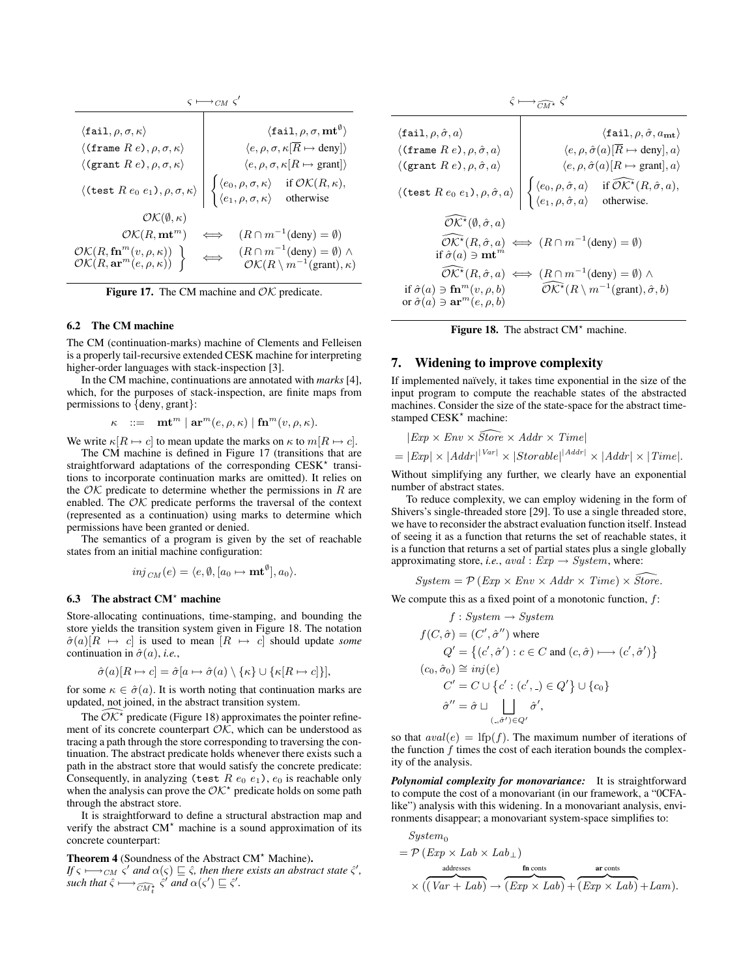

<span id="page-9-1"></span>Figure 17. The CM machine and  $\mathcal{O K}$  predicate.

# 6.2 The CM machine

The CM (continuation-marks) machine of Clements and Felleisen is a properly tail-recursive extended CESK machine for interpreting higher-order languages with stack-inspection [\[3\]](#page-11-3).

In the CM machine, continuations are annotated with *marks* [\[4\]](#page-11-14), which, for the purposes of stack-inspection, are finite maps from permissions to {deny, grant}:

$$
\kappa \quad ::= \quad \mathbf{m}\mathbf{t}^m \mid \mathbf{ar}^m(e,\rho,\kappa) \mid \mathbf{f}\mathbf{n}^m(v,\rho,\kappa).
$$

We write  $\kappa[R \mapsto c]$  to mean update the marks on  $\kappa$  to  $m[R \mapsto c]$ .

The CM machine is defined in Figure [17](#page-9-1) (transitions that are straightforward adaptations of the corresponding CESK<sup>\*</sup> transitions to incorporate continuation marks are omitted). It relies on the  $\mathcal{O}\mathcal{K}$  predicate to determine whether the permissions in R are enabled. The  $\mathcal{O}\mathcal{K}$  predicate performs the traversal of the context (represented as a continuation) using marks to determine which permissions have been granted or denied.

The semantics of a program is given by the set of reachable states from an initial machine configuration:

$$
inj_{CM}(e) = \langle e, \emptyset, [a_0 \mapsto \mathbf{mt}^{\emptyset}], a_0 \rangle.
$$

#### 6.3 The abstract  $CM^*$  machine

Store-allocating continuations, time-stamping, and bounding the store yields the transition system given in Figure [18.](#page-9-2) The notation  $\hat{\sigma}(a)[R \mapsto c]$  is used to mean  $[R \mapsto c]$  should update *some* continuation in  $\hat{\sigma}(a)$ , *i.e.*,

$$
\hat{\sigma}(a)[R \mapsto c] = \hat{\sigma}[a \mapsto \hat{\sigma}(a) \setminus \{\kappa\} \cup \{\kappa[R \mapsto c]\}],
$$

for some  $\kappa \in \hat{\sigma}(a)$ . It is worth noting that continuation marks are updated, not joined, in the abstract transition system.

The  $\widehat{\mathcal{O}\mathcal{K}}$ <sup>\*</sup> predicate (Figure [18\)](#page-9-2) approximates the pointer refinement of its concrete counterpart  $\mathcal{O}\mathcal{K}$ , which can be understood as tracing a path through the store corresponding to traversing the continuation. The abstract predicate holds whenever there exists such a path in the abstract store that would satisfy the concrete predicate: Consequently, in analyzing (test  $R e_0 e_1$ ),  $e_0$  is reachable only when the analysis can prove the  $\mathcal{O} \mathcal{K}^*$  predicate holds on some path through the abstract store.

It is straightforward to define a structural abstraction map and verify the abstract  $CM^*$  machine is a sound approximation of its concrete counterpart:

## **Theorem 4** (Soundness of the Abstract  $CM^*$  Machine).

*If*  $\varsigma \longmapsto_{CM} \varsigma'$  and  $\alpha(\varsigma) \sqsubseteq \hat{\varsigma}$ , then there exists an abstract state  $\hat{\varsigma}'$ , such that  $\hat{\varsigma} \longmapsto \widehat{CM}_{\hat{\tau}}} \hat{\varsigma}'$  and  $\alpha(\varsigma') \sqsubseteq \hat{\varsigma}'$ .

| $\langle \mathtt{fail}, \rho, \hat{\sigma}, a \rangle$                                                                                                | $\langle \texttt{fail}, \rho, \hat{\sigma}, a_{\textbf{mt}} \rangle$                                                                                                                                                                                                                                                          |
|-------------------------------------------------------------------------------------------------------------------------------------------------------|-------------------------------------------------------------------------------------------------------------------------------------------------------------------------------------------------------------------------------------------------------------------------------------------------------------------------------|
| $\langle$ (frame $R e$ ), $\rho$ , $\hat{\sigma}$ , $a \rangle$                                                                                       | $\langle e, \rho, \hat{\sigma}(a)   \overline{R} \mapsto \text{deny} \rangle, a \rangle$                                                                                                                                                                                                                                      |
| $\langle$ (grant R e), $\rho$ , $\hat{\sigma}$ , a)                                                                                                   | $\langle e,\rho,\hat{\sigma}(a) [R \mapsto \text{grant}],a \rangle$                                                                                                                                                                                                                                                           |
|                                                                                                                                                       | $\langle (\texttt{test}\; R\; e_0\; e_1), \rho, \hat{\sigma}, a \rangle \: \left  \begin{array}{cc} \big\langle e_0, \rho, \hat{\sigma}, a \rangle & \text{if}\; \widehat{\mathcal{O}\mathcal{K}^{\star}}(R, \hat{\sigma}, a), \\ \big\langle e_1, \rho, \hat{\sigma}, a \big\rangle & \text{otherwise.} \end{array} \right.$ |
| $\widehat{\mathcal{O}}\mathcal{K}^{\widetilde{\star}}(\emptyset,\hat{\sigma},a)$                                                                      |                                                                                                                                                                                                                                                                                                                               |
| $\widehat{\mathcal{O}}\mathcal{K}^*(R,\hat{\sigma},a) \iff (R\cap m^{-1}(\text{deny})=\emptyset)$<br>if $\hat{\sigma}(a) \ni \mathbf{m} \mathbf{t}^m$ |                                                                                                                                                                                                                                                                                                                               |
| $\widehat{\mathcal{O}}\mathcal{K}^*(R,\hat{\sigma},a) \iff (R\cap m^{-1}(\text{deny}) = \emptyset) \land$                                             |                                                                                                                                                                                                                                                                                                                               |
| if $\hat{\sigma}(a) \ni \mathbf{fn}^m(v, \rho, b)$<br>or $\hat{\sigma}(a) \ni \mathbf{ar}^m(e, \rho, b)$                                              | $\widehat{\mathcal{O}}\mathcal{K}^{\star}(R\setminus m^{-1}(\text{grant}),\hat{\sigma},b)$                                                                                                                                                                                                                                    |
|                                                                                                                                                       |                                                                                                                                                                                                                                                                                                                               |

<span id="page-9-2"></span>Figure 18. The abstract  $CM^*$  machine.

## <span id="page-9-0"></span>7. Widening to improve complexity

If implemented naïvely, it takes time exponential in the size of the input program to compute the reachable states of the abstracted machines. Consider the size of the state-space for the abstract timestamped CESK<sup>\*</sup> machine:

$$
|Exp \times Env \times \widehat{Store} \times Addr \times Time|
$$
  
= 
$$
|Exp| \times |Addr|^{|Var|} \times |Storable|^{|Addr|} \times |Addr| \times |Time|.
$$

Without simplifying any further, we clearly have an exponential number of abstract states.

To reduce complexity, we can employ widening in the form of Shivers's single-threaded store [\[29\]](#page-11-10). To use a single threaded store, we have to reconsider the abstract evaluation function itself. Instead of seeing it as a function that returns the set of reachable states, it is a function that returns a set of partial states plus a single globally approximating store, *i.e.*,  $aval : Exp \rightarrow System$ , where:

$$
System = \mathcal{P}(Exp \times Env \times Addr \times Time) \times \widehat{Store}.
$$

We compute this as a fixed point of a monotonic function,  $f$ :

$$
f: System \rightarrow System
$$
  
\n
$$
f(C, \hat{\sigma}) = (C', \hat{\sigma}'') \text{ where}
$$
  
\n
$$
Q' = \{(c', \hat{\sigma}') : c \in C \text{ and } (c, \hat{\sigma}) \longmapsto (c', \hat{\sigma}')\}
$$
  
\n
$$
(c_0, \hat{\sigma}_0) \cong inj(e)
$$
  
\n
$$
C' = C \cup \{c' : (c', -) \in Q'\} \cup \{c_0\}
$$
  
\n
$$
\hat{\sigma}'' = \hat{\sigma} \sqcup \bigsqcup_{(a, \hat{\sigma}') \in Q'}
$$

so that  $aval(e) = lfp(f)$ . The maximum number of iterations of the function  $f$  times the cost of each iteration bounds the complexity of the analysis.

*Polynomial complexity for monovariance:* It is straightforward to compute the cost of a monovariant (in our framework, a "0CFAlike") analysis with this widening. In a monovariant analysis, environments disappear; a monovariant system-space simplifies to:

$$
System_0
$$
  
=  $\mathcal{P}(Exp \times Lab \times Lab_{\perp})$   
addresses  
 $\times ((Var + Lab) \rightarrow (Exp \times Lab) + (Exp \times Lab) + Lam).$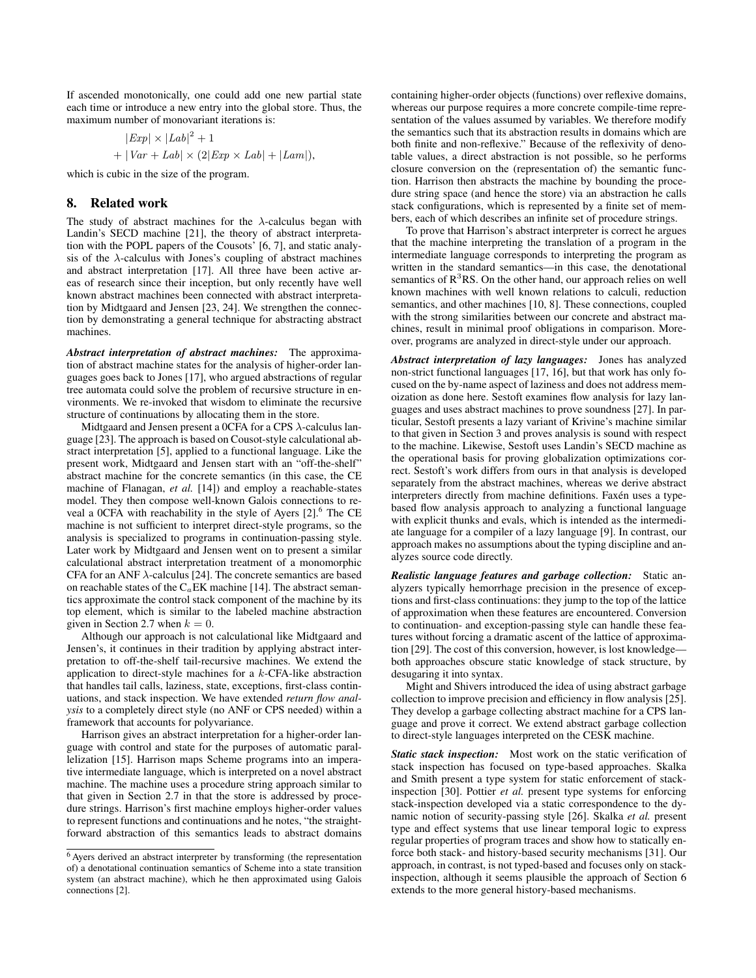If ascended monotonically, one could add one new partial state each time or introduce a new entry into the global store. Thus, the maximum number of monovariant iterations is:

$$
|Exp| \times |Lab|^2 + 1
$$
  
+ |Var + Lab| \times (2|Exp \times Lab| + |Lam|),

which is cubic in the size of the program.

# 8. Related work

The study of abstract machines for the  $\lambda$ -calculus began with Landin's SECD machine [\[21\]](#page-11-15), the theory of abstract interpretation with the POPL papers of the Cousots' [\[6,](#page-11-16) [7\]](#page-11-17), and static analysis of the  $\lambda$ -calculus with Jones's coupling of abstract machines and abstract interpretation [\[17\]](#page-11-18). All three have been active areas of research since their inception, but only recently have well known abstract machines been connected with abstract interpretation by Midtgaard and Jensen [\[23,](#page-11-19) [24\]](#page-11-20). We strengthen the connection by demonstrating a general technique for abstracting abstract machines.

*Abstract interpretation of abstract machines:* The approximation of abstract machine states for the analysis of higher-order languages goes back to Jones [\[17\]](#page-11-18), who argued abstractions of regular tree automata could solve the problem of recursive structure in environments. We re-invoked that wisdom to eliminate the recursive structure of continuations by allocating them in the store.

Midtgaard and Jensen present a 0CFA for a CPS  $\lambda$ -calculus language [\[23\]](#page-11-19). The approach is based on Cousot-style calculational abstract interpretation [\[5\]](#page-11-21), applied to a functional language. Like the present work, Midtgaard and Jensen start with an "off-the-shelf" abstract machine for the concrete semantics (in this case, the CE machine of Flanagan, *et al.* [\[14\]](#page-11-22)) and employ a reachable-states model. They then compose well-known Galois connections to re-veal a 0CFA with reachability in the style of Ayers [\[2\]](#page-11-23).<sup>[6](#page-10-0)</sup> The CE machine is not sufficient to interpret direct-style programs, so the analysis is specialized to programs in continuation-passing style. Later work by Midtgaard and Jensen went on to present a similar calculational abstract interpretation treatment of a monomorphic CFA for an ANF  $\lambda$ -calculus [\[24\]](#page-11-20). The concrete semantics are based on reachable states of the  $C_a EK$  machine [\[14\]](#page-11-22). The abstract semantics approximate the control stack component of the machine by its top element, which is similar to the labeled machine abstraction given in Section [2.7](#page-4-0) when  $k = 0$ .

Although our approach is not calculational like Midtgaard and Jensen's, it continues in their tradition by applying abstract interpretation to off-the-shelf tail-recursive machines. We extend the application to direct-style machines for a k-CFA-like abstraction that handles tail calls, laziness, state, exceptions, first-class continuations, and stack inspection. We have extended *return flow analysis* to a completely direct style (no ANF or CPS needed) within a framework that accounts for polyvariance.

Harrison gives an abstract interpretation for a higher-order language with control and state for the purposes of automatic parallelization [\[15\]](#page-11-24). Harrison maps Scheme programs into an imperative intermediate language, which is interpreted on a novel abstract machine. The machine uses a procedure string approach similar to that given in Section [2.7](#page-4-0) in that the store is addressed by procedure strings. Harrison's first machine employs higher-order values to represent functions and continuations and he notes, "the straightforward abstraction of this semantics leads to abstract domains containing higher-order objects (functions) over reflexive domains, whereas our purpose requires a more concrete compile-time representation of the values assumed by variables. We therefore modify the semantics such that its abstraction results in domains which are both finite and non-reflexive." Because of the reflexivity of denotable values, a direct abstraction is not possible, so he performs closure conversion on the (representation of) the semantic function. Harrison then abstracts the machine by bounding the procedure string space (and hence the store) via an abstraction he calls stack configurations, which is represented by a finite set of members, each of which describes an infinite set of procedure strings.

To prove that Harrison's abstract interpreter is correct he argues that the machine interpreting the translation of a program in the intermediate language corresponds to interpreting the program as written in the standard semantics—in this case, the denotational semantics of  $R<sup>3</sup>RS$ . On the other hand, our approach relies on well known machines with well known relations to calculi, reduction semantics, and other machines [\[10,](#page-11-7) [8\]](#page-11-25). These connections, coupled with the strong similarities between our concrete and abstract machines, result in minimal proof obligations in comparison. Moreover, programs are analyzed in direct-style under our approach.

*Abstract interpretation of lazy languages:* Jones has analyzed non-strict functional languages [\[17,](#page-11-18) [16\]](#page-11-26), but that work has only focused on the by-name aspect of laziness and does not address memoization as done here. Sestoft examines flow analysis for lazy languages and uses abstract machines to prove soundness [\[27\]](#page-11-27). In particular, Sestoft presents a lazy variant of Krivine's machine similar to that given in Section [3](#page-5-0) and proves analysis is sound with respect to the machine. Likewise, Sestoft uses Landin's SECD machine as the operational basis for proving globalization optimizations correct. Sestoft's work differs from ours in that analysis is developed separately from the abstract machines, whereas we derive abstract interpreters directly from machine definitions. Faxén uses a typebased flow analysis approach to analyzing a functional language with explicit thunks and evals, which is intended as the intermediate language for a compiler of a lazy language [\[9\]](#page-11-28). In contrast, our approach makes no assumptions about the typing discipline and analyzes source code directly.

*Realistic language features and garbage collection:* Static analyzers typically hemorrhage precision in the presence of exceptions and first-class continuations: they jump to the top of the lattice of approximation when these features are encountered. Conversion to continuation- and exception-passing style can handle these features without forcing a dramatic ascent of the lattice of approximation [\[29\]](#page-11-10). The cost of this conversion, however, is lost knowledge both approaches obscure static knowledge of stack structure, by desugaring it into syntax.

Might and Shivers introduced the idea of using abstract garbage collection to improve precision and efficiency in flow analysis [\[25\]](#page-11-4). They develop a garbage collecting abstract machine for a CPS language and prove it correct. We extend abstract garbage collection to direct-style languages interpreted on the CESK machine.

*Static stack inspection:* Most work on the static verification of stack inspection has focused on type-based approaches. Skalka and Smith present a type system for static enforcement of stackinspection [\[30\]](#page-11-29). Pottier *et al.* present type systems for enforcing stack-inspection developed via a static correspondence to the dynamic notion of security-passing style [\[26\]](#page-11-13). Skalka *et al.* present type and effect systems that use linear temporal logic to express regular properties of program traces and show how to statically enforce both stack- and history-based security mechanisms [\[31\]](#page-11-30). Our approach, in contrast, is not typed-based and focuses only on stackinspection, although it seems plausible the approach of Section [6](#page-8-0) extends to the more general history-based mechanisms.

<span id="page-10-0"></span><sup>6</sup> Ayers derived an abstract interpreter by transforming (the representation of) a denotational continuation semantics of Scheme into a state transition system (an abstract machine), which he then approximated using Galois connections [\[2\]](#page-11-23).